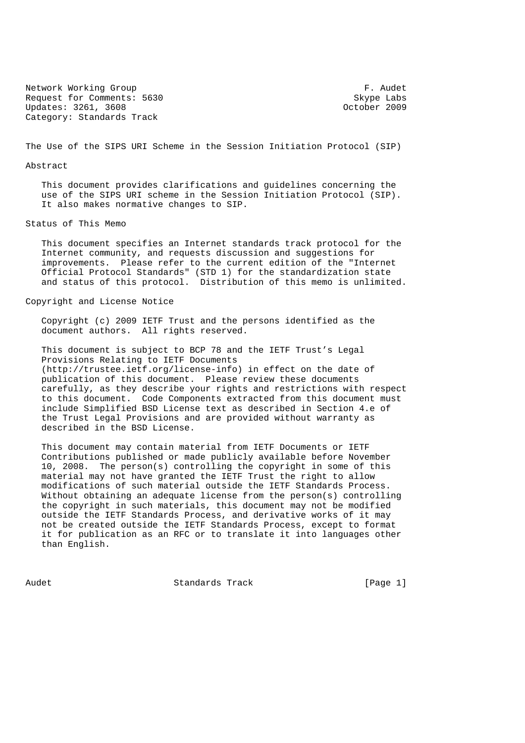Network Working Group **F. Audet** Request for Comments: 5630 Skype Labs<br>
Updates: 3261, 3608 Superintensity of the Superintensity of the Superintensity of the Superintensity of the Superintensity of the Superintensity of the Superintensity of the Superinte Updates: 3261, 3608 Category: Standards Track

The Use of the SIPS URI Scheme in the Session Initiation Protocol (SIP)

#### Abstract

 This document provides clarifications and guidelines concerning the use of the SIPS URI scheme in the Session Initiation Protocol (SIP). It also makes normative changes to SIP.

Status of This Memo

 This document specifies an Internet standards track protocol for the Internet community, and requests discussion and suggestions for improvements. Please refer to the current edition of the "Internet Official Protocol Standards" (STD 1) for the standardization state and status of this protocol. Distribution of this memo is unlimited.

#### Copyright and License Notice

 Copyright (c) 2009 IETF Trust and the persons identified as the document authors. All rights reserved.

 This document is subject to BCP 78 and the IETF Trust's Legal Provisions Relating to IETF Documents (http://trustee.ietf.org/license-info) in effect on the date of publication of this document. Please review these documents carefully, as they describe your rights and restrictions with respect to this document. Code Components extracted from this document must include Simplified BSD License text as described in Section 4.e of the Trust Legal Provisions and are provided without warranty as described in the BSD License.

 This document may contain material from IETF Documents or IETF Contributions published or made publicly available before November 10, 2008. The person(s) controlling the copyright in some of this material may not have granted the IETF Trust the right to allow modifications of such material outside the IETF Standards Process. Without obtaining an adequate license from the person(s) controlling the copyright in such materials, this document may not be modified outside the IETF Standards Process, and derivative works of it may not be created outside the IETF Standards Process, except to format it for publication as an RFC or to translate it into languages other than English.

Audet **Standards Track** [Page 1]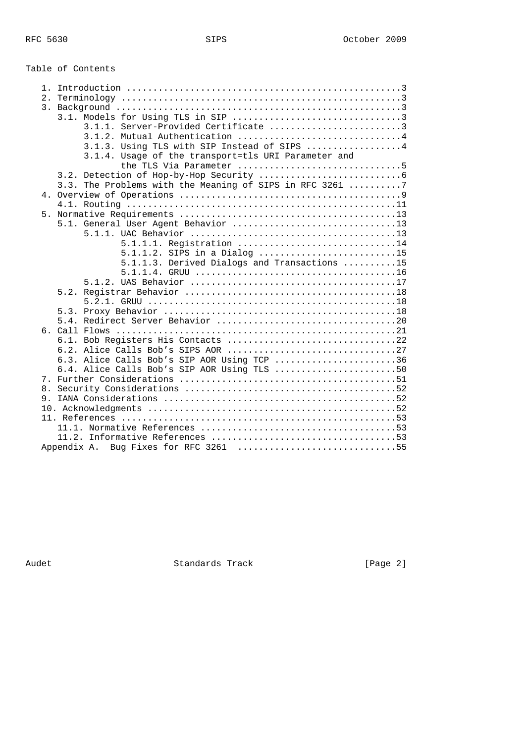# Table of Contents

| 2 <sub>1</sub>                                                                        |  |
|---------------------------------------------------------------------------------------|--|
|                                                                                       |  |
|                                                                                       |  |
|                                                                                       |  |
| 3.1.1. Server-Provided Certificate 3                                                  |  |
| 3.1.2. Mutual Authentication 4                                                        |  |
| 3.1.3. Using TLS with SIP Instead of SIPS 4                                           |  |
| 3.1.4. Usage of the transport=tls URI Parameter and                                   |  |
| the TLS Via Parameter 5                                                               |  |
|                                                                                       |  |
| 3.3. The Problems with the Meaning of SIPS in RFC 3261 7                              |  |
|                                                                                       |  |
|                                                                                       |  |
|                                                                                       |  |
| 5.1. General User Agent Behavior 13                                                   |  |
|                                                                                       |  |
| 5.1.1.1. Reqistration 14                                                              |  |
|                                                                                       |  |
| 5.1.1.2. SIPS in a Dialog 15                                                          |  |
| 5.1.1.3. Derived Dialogs and Transactions 15                                          |  |
| $5.1.1.4.$ GRUU $\dots\dots\dots\dots\dots\dots\dots\dots\dots\dots\dots\dots\dots16$ |  |
|                                                                                       |  |
|                                                                                       |  |
|                                                                                       |  |
|                                                                                       |  |
|                                                                                       |  |
|                                                                                       |  |
| 6.1. Bob Registers His Contacts 22                                                    |  |
|                                                                                       |  |
| 6.3. Alice Calls Bob's SIP AOR Using TCP 36                                           |  |
| 6.4. Alice Calls Bob's SIP AOR Using TLS 50                                           |  |
|                                                                                       |  |
|                                                                                       |  |
|                                                                                       |  |
|                                                                                       |  |
|                                                                                       |  |
|                                                                                       |  |
|                                                                                       |  |
| Appendix A. Bug Fixes for RFC 3261 55                                                 |  |

Audet **Standards Track** [Page 2]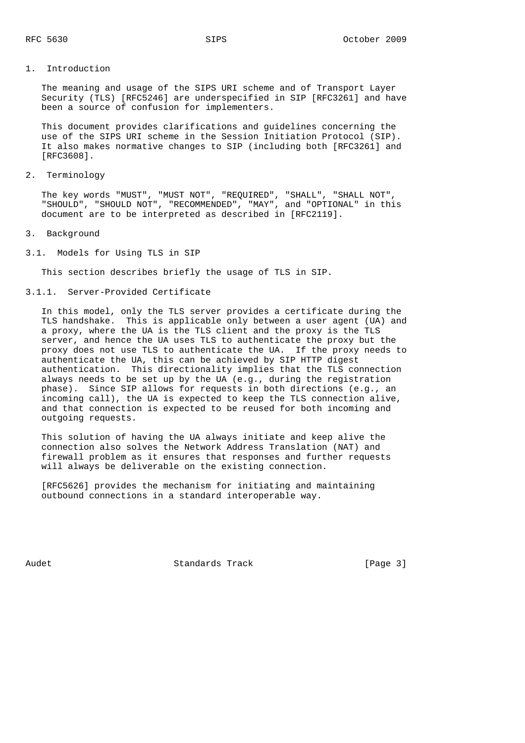#### 1. Introduction

 The meaning and usage of the SIPS URI scheme and of Transport Layer Security (TLS) [RFC5246] are underspecified in SIP [RFC3261] and have been a source of confusion for implementers.

 This document provides clarifications and guidelines concerning the use of the SIPS URI scheme in the Session Initiation Protocol (SIP). It also makes normative changes to SIP (including both [RFC3261] and [RFC3608].

2. Terminology

 The key words "MUST", "MUST NOT", "REQUIRED", "SHALL", "SHALL NOT", "SHOULD", "SHOULD NOT", "RECOMMENDED", "MAY", and "OPTIONAL" in this document are to be interpreted as described in [RFC2119].

3. Background

3.1. Models for Using TLS in SIP

This section describes briefly the usage of TLS in SIP.

### 3.1.1. Server-Provided Certificate

 In this model, only the TLS server provides a certificate during the TLS handshake. This is applicable only between a user agent (UA) and a proxy, where the UA is the TLS client and the proxy is the TLS server, and hence the UA uses TLS to authenticate the proxy but the proxy does not use TLS to authenticate the UA. If the proxy needs to authenticate the UA, this can be achieved by SIP HTTP digest authentication. This directionality implies that the TLS connection always needs to be set up by the UA (e.g., during the registration phase). Since SIP allows for requests in both directions (e.g., an incoming call), the UA is expected to keep the TLS connection alive, and that connection is expected to be reused for both incoming and outgoing requests.

 This solution of having the UA always initiate and keep alive the connection also solves the Network Address Translation (NAT) and firewall problem as it ensures that responses and further requests will always be deliverable on the existing connection.

 [RFC5626] provides the mechanism for initiating and maintaining outbound connections in a standard interoperable way.

Audet **Standards Track** [Page 3]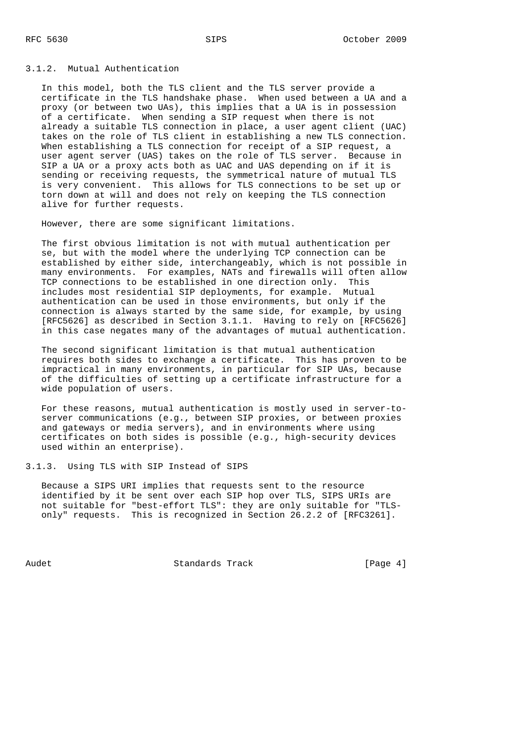### 3.1.2. Mutual Authentication

 In this model, both the TLS client and the TLS server provide a certificate in the TLS handshake phase. When used between a UA and a proxy (or between two UAs), this implies that a UA is in possession of a certificate. When sending a SIP request when there is not already a suitable TLS connection in place, a user agent client (UAC) takes on the role of TLS client in establishing a new TLS connection. When establishing a TLS connection for receipt of a SIP request, a user agent server (UAS) takes on the role of TLS server. Because in SIP a UA or a proxy acts both as UAC and UAS depending on if it is sending or receiving requests, the symmetrical nature of mutual TLS is very convenient. This allows for TLS connections to be set up or torn down at will and does not rely on keeping the TLS connection alive for further requests.

However, there are some significant limitations.

 The first obvious limitation is not with mutual authentication per se, but with the model where the underlying TCP connection can be established by either side, interchangeably, which is not possible in many environments. For examples, NATs and firewalls will often allow TCP connections to be established in one direction only. This includes most residential SIP deployments, for example. Mutual authentication can be used in those environments, but only if the connection is always started by the same side, for example, by using [RFC5626] as described in Section 3.1.1. Having to rely on [RFC5626] in this case negates many of the advantages of mutual authentication.

 The second significant limitation is that mutual authentication requires both sides to exchange a certificate. This has proven to be impractical in many environments, in particular for SIP UAs, because of the difficulties of setting up a certificate infrastructure for a wide population of users.

 For these reasons, mutual authentication is mostly used in server-to server communications (e.g., between SIP proxies, or between proxies and gateways or media servers), and in environments where using certificates on both sides is possible (e.g., high-security devices used within an enterprise).

3.1.3. Using TLS with SIP Instead of SIPS

 Because a SIPS URI implies that requests sent to the resource identified by it be sent over each SIP hop over TLS, SIPS URIs are not suitable for "best-effort TLS": they are only suitable for "TLS only" requests. This is recognized in Section 26.2.2 of [RFC3261].

Audet **Standards Track** [Page 4]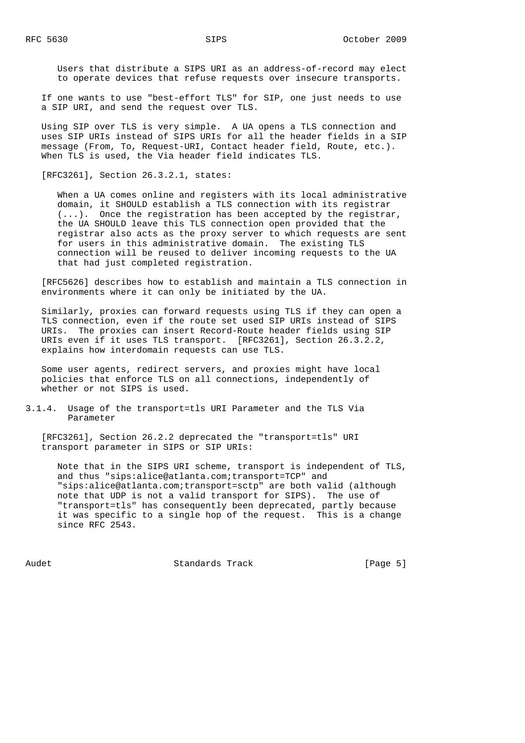Users that distribute a SIPS URI as an address-of-record may elect to operate devices that refuse requests over insecure transports.

 If one wants to use "best-effort TLS" for SIP, one just needs to use a SIP URI, and send the request over TLS.

 Using SIP over TLS is very simple. A UA opens a TLS connection and uses SIP URIs instead of SIPS URIs for all the header fields in a SIP message (From, To, Request-URI, Contact header field, Route, etc.). When TLS is used, the Via header field indicates TLS.

[RFC3261], Section 26.3.2.1, states:

 When a UA comes online and registers with its local administrative domain, it SHOULD establish a TLS connection with its registrar (...). Once the registration has been accepted by the registrar, the UA SHOULD leave this TLS connection open provided that the registrar also acts as the proxy server to which requests are sent for users in this administrative domain. The existing TLS connection will be reused to deliver incoming requests to the UA that had just completed registration.

 [RFC5626] describes how to establish and maintain a TLS connection in environments where it can only be initiated by the UA.

 Similarly, proxies can forward requests using TLS if they can open a TLS connection, even if the route set used SIP URIs instead of SIPS URIs. The proxies can insert Record-Route header fields using SIP URIs even if it uses TLS transport. [RFC3261], Section 26.3.2.2, explains how interdomain requests can use TLS.

 Some user agents, redirect servers, and proxies might have local policies that enforce TLS on all connections, independently of whether or not SIPS is used.

3.1.4. Usage of the transport=tls URI Parameter and the TLS Via Parameter

 [RFC3261], Section 26.2.2 deprecated the "transport=tls" URI transport parameter in SIPS or SIP URIs:

 Note that in the SIPS URI scheme, transport is independent of TLS, and thus "sips:alice@atlanta.com;transport=TCP" and "sips:alice@atlanta.com;transport=sctp" are both valid (although note that UDP is not a valid transport for SIPS). The use of "transport=tls" has consequently been deprecated, partly because it was specific to a single hop of the request. This is a change since RFC 2543.

Audet **Standards Track** [Page 5]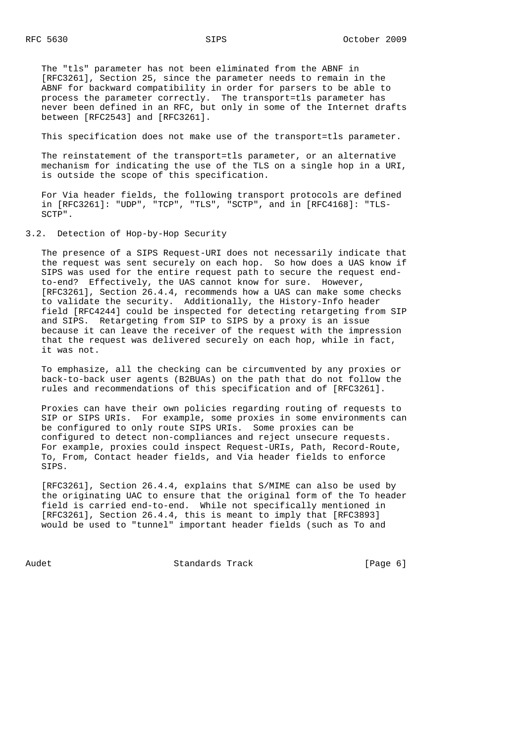The "tls" parameter has not been eliminated from the ABNF in [RFC3261], Section 25, since the parameter needs to remain in the ABNF for backward compatibility in order for parsers to be able to process the parameter correctly. The transport=tls parameter has never been defined in an RFC, but only in some of the Internet drafts between [RFC2543] and [RFC3261].

This specification does not make use of the transport=tls parameter.

 The reinstatement of the transport=tls parameter, or an alternative mechanism for indicating the use of the TLS on a single hop in a URI, is outside the scope of this specification.

 For Via header fields, the following transport protocols are defined in [RFC3261]: "UDP", "TCP", "TLS", "SCTP", and in [RFC4168]: "TLS- SCTP".

3.2. Detection of Hop-by-Hop Security

 The presence of a SIPS Request-URI does not necessarily indicate that the request was sent securely on each hop. So how does a UAS know if SIPS was used for the entire request path to secure the request end to-end? Effectively, the UAS cannot know for sure. However, [RFC3261], Section 26.4.4, recommends how a UAS can make some checks to validate the security. Additionally, the History-Info header field [RFC4244] could be inspected for detecting retargeting from SIP and SIPS. Retargeting from SIP to SIPS by a proxy is an issue because it can leave the receiver of the request with the impression that the request was delivered securely on each hop, while in fact, it was not.

 To emphasize, all the checking can be circumvented by any proxies or back-to-back user agents (B2BUAs) on the path that do not follow the rules and recommendations of this specification and of [RFC3261].

 Proxies can have their own policies regarding routing of requests to SIP or SIPS URIs. For example, some proxies in some environments can be configured to only route SIPS URIs. Some proxies can be configured to detect non-compliances and reject unsecure requests. For example, proxies could inspect Request-URIs, Path, Record-Route, To, From, Contact header fields, and Via header fields to enforce SIPS.

 [RFC3261], Section 26.4.4, explains that S/MIME can also be used by the originating UAC to ensure that the original form of the To header field is carried end-to-end. While not specifically mentioned in [RFC3261], Section 26.4.4, this is meant to imply that [RFC3893] would be used to "tunnel" important header fields (such as To and

Audet **Standards Track** [Page 6]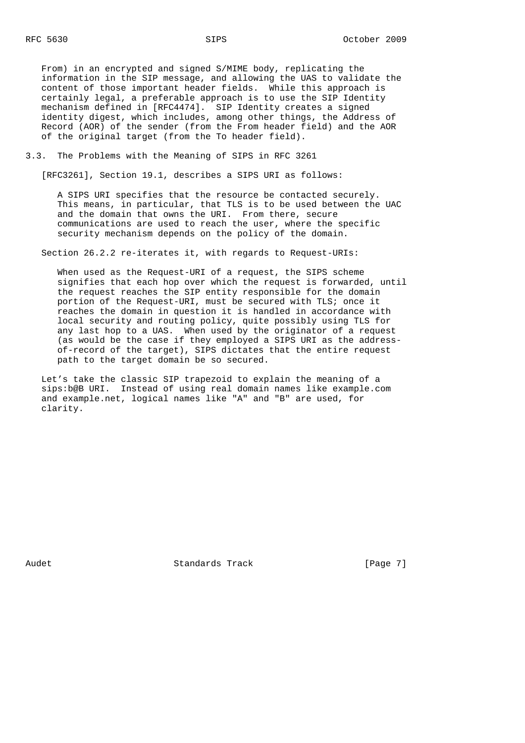From) in an encrypted and signed S/MIME body, replicating the information in the SIP message, and allowing the UAS to validate the content of those important header fields. While this approach is certainly legal, a preferable approach is to use the SIP Identity mechanism defined in [RFC4474]. SIP Identity creates a signed identity digest, which includes, among other things, the Address of Record (AOR) of the sender (from the From header field) and the AOR of the original target (from the To header field).

#### 3.3. The Problems with the Meaning of SIPS in RFC 3261

[RFC3261], Section 19.1, describes a SIPS URI as follows:

 A SIPS URI specifies that the resource be contacted securely. This means, in particular, that TLS is to be used between the UAC and the domain that owns the URI. From there, secure communications are used to reach the user, where the specific security mechanism depends on the policy of the domain.

Section 26.2.2 re-iterates it, with regards to Request-URIs:

 When used as the Request-URI of a request, the SIPS scheme signifies that each hop over which the request is forwarded, until the request reaches the SIP entity responsible for the domain portion of the Request-URI, must be secured with TLS; once it reaches the domain in question it is handled in accordance with local security and routing policy, quite possibly using TLS for any last hop to a UAS. When used by the originator of a request (as would be the case if they employed a SIPS URI as the address of-record of the target), SIPS dictates that the entire request path to the target domain be so secured.

 Let's take the classic SIP trapezoid to explain the meaning of a sips:b@B URI. Instead of using real domain names like example.com and example.net, logical names like "A" and "B" are used, for clarity.

Audet **Standards Track** [Page 7]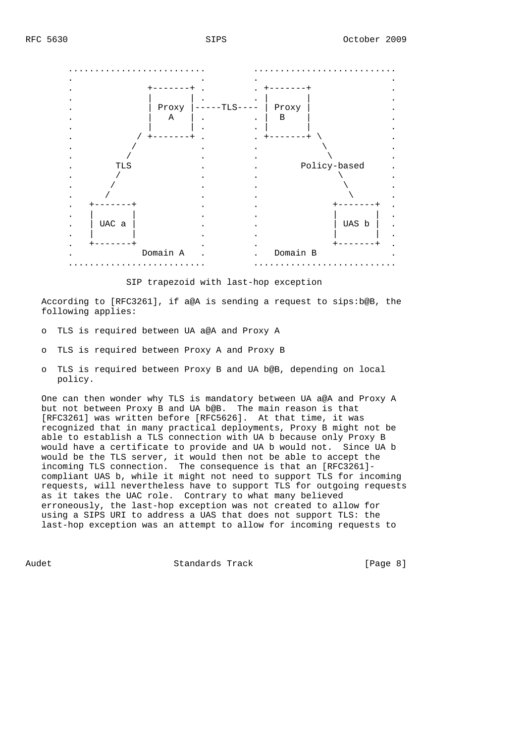

SIP trapezoid with last-hop exception

 According to [RFC3261], if a@A is sending a request to sips:b@B, the following applies:

- o TLS is required between UA a@A and Proxy A
- o TLS is required between Proxy A and Proxy B
- o TLS is required between Proxy B and UA b@B, depending on local policy.

 One can then wonder why TLS is mandatory between UA a@A and Proxy A but not between Proxy B and UA b@B. The main reason is that [RFC3261] was written before [RFC5626]. At that time, it was recognized that in many practical deployments, Proxy B might not be able to establish a TLS connection with UA b because only Proxy B would have a certificate to provide and UA b would not. Since UA b would be the TLS server, it would then not be able to accept the incoming TLS connection. The consequence is that an [RFC3261] compliant UAS b, while it might not need to support TLS for incoming requests, will nevertheless have to support TLS for outgoing requests as it takes the UAC role. Contrary to what many believed erroneously, the last-hop exception was not created to allow for using a SIPS URI to address a UAS that does not support TLS: the last-hop exception was an attempt to allow for incoming requests to

Audet **Standards Track** [Page 8]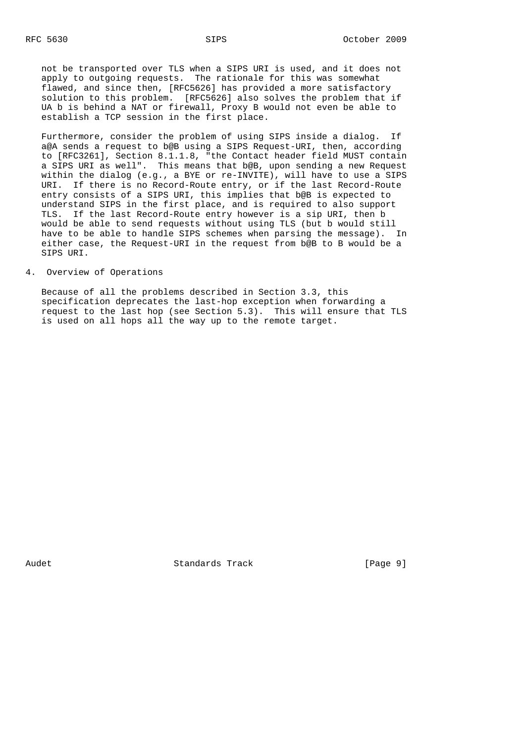not be transported over TLS when a SIPS URI is used, and it does not apply to outgoing requests. The rationale for this was somewhat flawed, and since then, [RFC5626] has provided a more satisfactory solution to this problem. [RFC5626] also solves the problem that if UA b is behind a NAT or firewall, Proxy B would not even be able to establish a TCP session in the first place.

 Furthermore, consider the problem of using SIPS inside a dialog. If a@A sends a request to b@B using a SIPS Request-URI, then, according to [RFC3261], Section 8.1.1.8, "the Contact header field MUST contain a SIPS URI as well". This means that b@B, upon sending a new Request within the dialog (e.g., a BYE or re-INVITE), will have to use a SIPS URI. If there is no Record-Route entry, or if the last Record-Route entry consists of a SIPS URI, this implies that b@B is expected to understand SIPS in the first place, and is required to also support TLS. If the last Record-Route entry however is a sip URI, then b would be able to send requests without using TLS (but b would still have to be able to handle SIPS schemes when parsing the message). In either case, the Request-URI in the request from b@B to B would be a SIPS URI.

#### 4. Overview of Operations

 Because of all the problems described in Section 3.3, this specification deprecates the last-hop exception when forwarding a request to the last hop (see Section 5.3). This will ensure that TLS is used on all hops all the way up to the remote target.

Audet **Standards Track** [Page 9]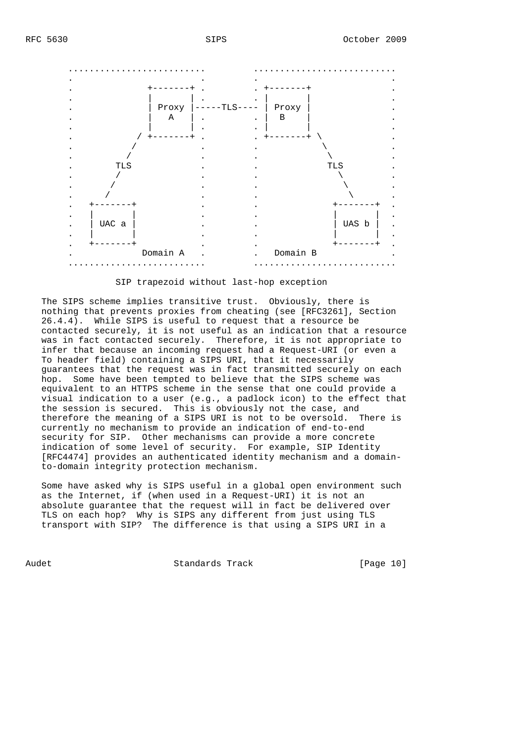

SIP trapezoid without last-hop exception

 The SIPS scheme implies transitive trust. Obviously, there is nothing that prevents proxies from cheating (see [RFC3261], Section 26.4.4). While SIPS is useful to request that a resource be contacted securely, it is not useful as an indication that a resource was in fact contacted securely. Therefore, it is not appropriate to infer that because an incoming request had a Request-URI (or even a To header field) containing a SIPS URI, that it necessarily guarantees that the request was in fact transmitted securely on each hop. Some have been tempted to believe that the SIPS scheme was equivalent to an HTTPS scheme in the sense that one could provide a visual indication to a user (e.g., a padlock icon) to the effect that the session is secured. This is obviously not the case, and therefore the meaning of a SIPS URI is not to be oversold. There is currently no mechanism to provide an indication of end-to-end security for SIP. Other mechanisms can provide a more concrete indication of some level of security. For example, SIP Identity [RFC4474] provides an authenticated identity mechanism and a domain to-domain integrity protection mechanism.

 Some have asked why is SIPS useful in a global open environment such as the Internet, if (when used in a Request-URI) it is not an absolute guarantee that the request will in fact be delivered over TLS on each hop? Why is SIPS any different from just using TLS transport with SIP? The difference is that using a SIPS URI in a

Audet Standards Track [Page 10]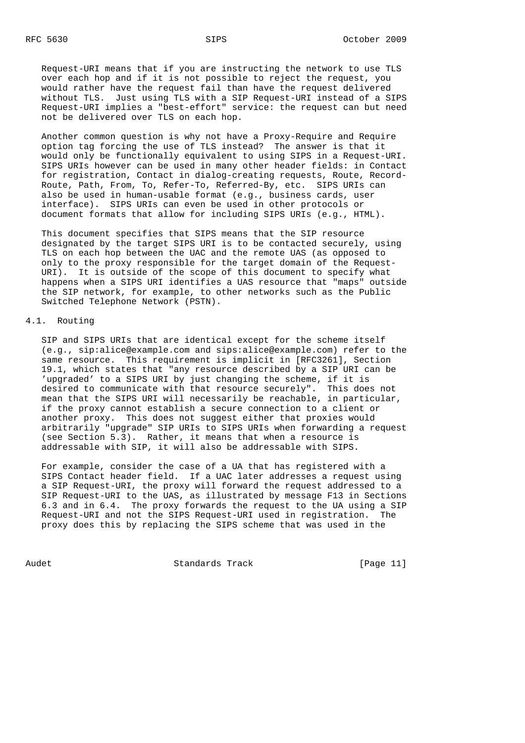Request-URI means that if you are instructing the network to use TLS over each hop and if it is not possible to reject the request, you would rather have the request fail than have the request delivered without TLS. Just using TLS with a SIP Request-URI instead of a SIPS Request-URI implies a "best-effort" service: the request can but need not be delivered over TLS on each hop.

 Another common question is why not have a Proxy-Require and Require option tag forcing the use of TLS instead? The answer is that it would only be functionally equivalent to using SIPS in a Request-URI. SIPS URIs however can be used in many other header fields: in Contact for registration, Contact in dialog-creating requests, Route, Record- Route, Path, From, To, Refer-To, Referred-By, etc. SIPS URIs can also be used in human-usable format (e.g., business cards, user interface). SIPS URIs can even be used in other protocols or document formats that allow for including SIPS URIs (e.g., HTML).

 This document specifies that SIPS means that the SIP resource designated by the target SIPS URI is to be contacted securely, using TLS on each hop between the UAC and the remote UAS (as opposed to only to the proxy responsible for the target domain of the Request- URI). It is outside of the scope of this document to specify what happens when a SIPS URI identifies a UAS resource that "maps" outside the SIP network, for example, to other networks such as the Public Switched Telephone Network (PSTN).

#### 4.1. Routing

 SIP and SIPS URIs that are identical except for the scheme itself (e.g., sip:alice@example.com and sips:alice@example.com) refer to the same resource. This requirement is implicit in [RFC3261], Section 19.1, which states that "any resource described by a SIP URI can be 'upgraded' to a SIPS URI by just changing the scheme, if it is desired to communicate with that resource securely". This does not mean that the SIPS URI will necessarily be reachable, in particular, if the proxy cannot establish a secure connection to a client or another proxy. This does not suggest either that proxies would arbitrarily "upgrade" SIP URIs to SIPS URIs when forwarding a request (see Section 5.3). Rather, it means that when a resource is addressable with SIP, it will also be addressable with SIPS.

 For example, consider the case of a UA that has registered with a SIPS Contact header field. If a UAC later addresses a request using a SIP Request-URI, the proxy will forward the request addressed to a SIP Request-URI to the UAS, as illustrated by message F13 in Sections 6.3 and in 6.4. The proxy forwards the request to the UA using a SIP Request-URI and not the SIPS Request-URI used in registration. The proxy does this by replacing the SIPS scheme that was used in the

Audet **Standards Track** [Page 11]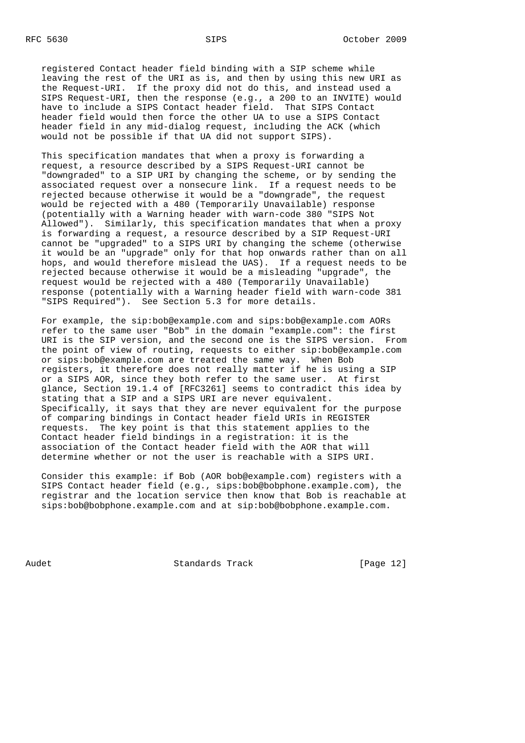registered Contact header field binding with a SIP scheme while leaving the rest of the URI as is, and then by using this new URI as the Request-URI. If the proxy did not do this, and instead used a SIPS Request-URI, then the response (e.g., a 200 to an INVITE) would have to include a SIPS Contact header field. That SIPS Contact header field would then force the other UA to use a SIPS Contact header field in any mid-dialog request, including the ACK (which would not be possible if that UA did not support SIPS).

 This specification mandates that when a proxy is forwarding a request, a resource described by a SIPS Request-URI cannot be "downgraded" to a SIP URI by changing the scheme, or by sending the associated request over a nonsecure link. If a request needs to be rejected because otherwise it would be a "downgrade", the request would be rejected with a 480 (Temporarily Unavailable) response (potentially with a Warning header with warn-code 380 "SIPS Not Allowed"). Similarly, this specification mandates that when a proxy is forwarding a request, a resource described by a SIP Request-URI cannot be "upgraded" to a SIPS URI by changing the scheme (otherwise it would be an "upgrade" only for that hop onwards rather than on all hops, and would therefore mislead the UAS). If a request needs to be rejected because otherwise it would be a misleading "upgrade", the request would be rejected with a 480 (Temporarily Unavailable) response (potentially with a Warning header field with warn-code 381 "SIPS Required"). See Section 5.3 for more details.

 For example, the sip:bob@example.com and sips:bob@example.com AORs refer to the same user "Bob" in the domain "example.com": the first URI is the SIP version, and the second one is the SIPS version. From the point of view of routing, requests to either sip:bob@example.com or sips:bob@example.com are treated the same way. When Bob registers, it therefore does not really matter if he is using a SIP or a SIPS AOR, since they both refer to the same user. At first glance, Section 19.1.4 of [RFC3261] seems to contradict this idea by stating that a SIP and a SIPS URI are never equivalent. Specifically, it says that they are never equivalent for the purpose of comparing bindings in Contact header field URIs in REGISTER requests. The key point is that this statement applies to the Contact header field bindings in a registration: it is the association of the Contact header field with the AOR that will determine whether or not the user is reachable with a SIPS URI.

 Consider this example: if Bob (AOR bob@example.com) registers with a SIPS Contact header field (e.g., sips:bob@bobphone.example.com), the registrar and the location service then know that Bob is reachable at sips:bob@bobphone.example.com and at sip:bob@bobphone.example.com.

Audet **Standards Track** [Page 12]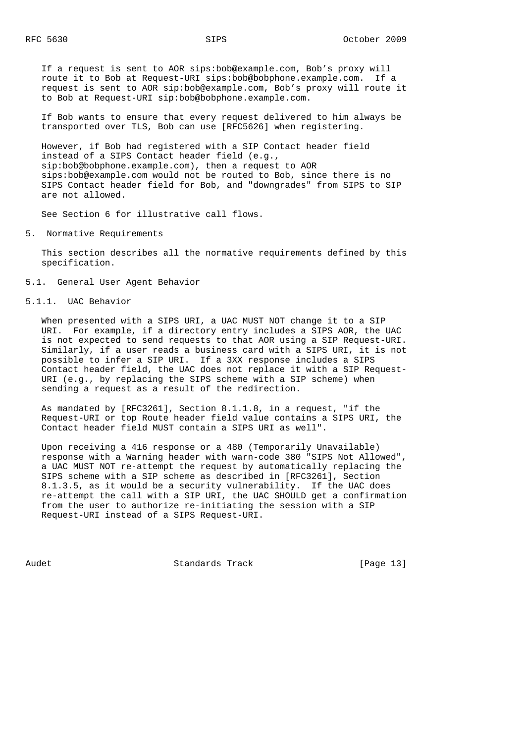If a request is sent to AOR sips:bob@example.com, Bob's proxy will route it to Bob at Request-URI sips:bob@bobphone.example.com. If a request is sent to AOR sip:bob@example.com, Bob's proxy will route it to Bob at Request-URI sip:bob@bobphone.example.com.

 If Bob wants to ensure that every request delivered to him always be transported over TLS, Bob can use [RFC5626] when registering.

 However, if Bob had registered with a SIP Contact header field instead of a SIPS Contact header field (e.g., sip:bob@bobphone.example.com), then a request to AOR sips:bob@example.com would not be routed to Bob, since there is no SIPS Contact header field for Bob, and "downgrades" from SIPS to SIP are not allowed.

See Section 6 for illustrative call flows.

5. Normative Requirements

 This section describes all the normative requirements defined by this specification.

5.1. General User Agent Behavior

### 5.1.1. UAC Behavior

 When presented with a SIPS URI, a UAC MUST NOT change it to a SIP URI. For example, if a directory entry includes a SIPS AOR, the UAC is not expected to send requests to that AOR using a SIP Request-URI. Similarly, if a user reads a business card with a SIPS URI, it is not possible to infer a SIP URI. If a 3XX response includes a SIPS Contact header field, the UAC does not replace it with a SIP Request- URI (e.g., by replacing the SIPS scheme with a SIP scheme) when sending a request as a result of the redirection.

 As mandated by [RFC3261], Section 8.1.1.8, in a request, "if the Request-URI or top Route header field value contains a SIPS URI, the Contact header field MUST contain a SIPS URI as well".

 Upon receiving a 416 response or a 480 (Temporarily Unavailable) response with a Warning header with warn-code 380 "SIPS Not Allowed", a UAC MUST NOT re-attempt the request by automatically replacing the SIPS scheme with a SIP scheme as described in [RFC3261], Section 8.1.3.5, as it would be a security vulnerability. If the UAC does re-attempt the call with a SIP URI, the UAC SHOULD get a confirmation from the user to authorize re-initiating the session with a SIP Request-URI instead of a SIPS Request-URI.

Audet **Standards Track** [Page 13]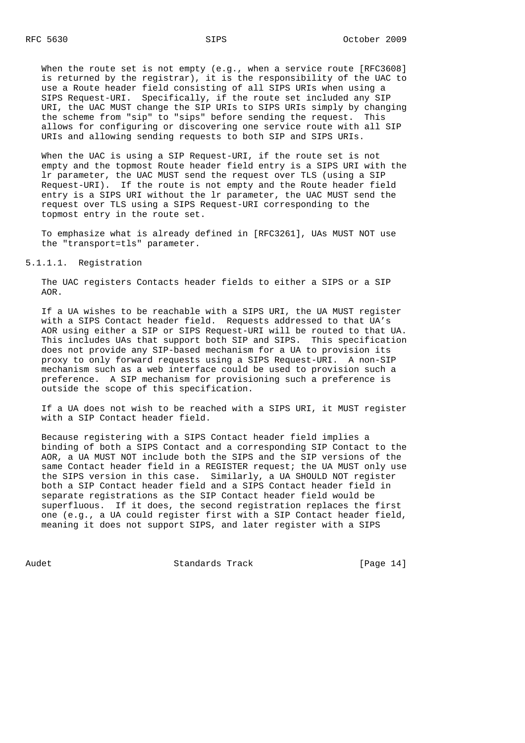When the route set is not empty (e.g., when a service route [RFC3608] is returned by the registrar), it is the responsibility of the UAC to use a Route header field consisting of all SIPS URIs when using a SIPS Request-URI. Specifically, if the route set included any SIP URI, the UAC MUST change the SIP URIs to SIPS URIs simply by changing the scheme from "sip" to "sips" before sending the request. This allows for configuring or discovering one service route with all SIP URIs and allowing sending requests to both SIP and SIPS URIs.

 When the UAC is using a SIP Request-URI, if the route set is not empty and the topmost Route header field entry is a SIPS URI with the lr parameter, the UAC MUST send the request over TLS (using a SIP Request-URI). If the route is not empty and the Route header field entry is a SIPS URI without the lr parameter, the UAC MUST send the request over TLS using a SIPS Request-URI corresponding to the topmost entry in the route set.

 To emphasize what is already defined in [RFC3261], UAs MUST NOT use the "transport=tls" parameter.

## 5.1.1.1. Registration

 The UAC registers Contacts header fields to either a SIPS or a SIP AOR.

 If a UA wishes to be reachable with a SIPS URI, the UA MUST register with a SIPS Contact header field. Requests addressed to that UA's AOR using either a SIP or SIPS Request-URI will be routed to that UA. This includes UAs that support both SIP and SIPS. This specification does not provide any SIP-based mechanism for a UA to provision its proxy to only forward requests using a SIPS Request-URI. A non-SIP mechanism such as a web interface could be used to provision such a preference. A SIP mechanism for provisioning such a preference is outside the scope of this specification.

 If a UA does not wish to be reached with a SIPS URI, it MUST register with a SIP Contact header field.

 Because registering with a SIPS Contact header field implies a binding of both a SIPS Contact and a corresponding SIP Contact to the AOR, a UA MUST NOT include both the SIPS and the SIP versions of the same Contact header field in a REGISTER request; the UA MUST only use the SIPS version in this case. Similarly, a UA SHOULD NOT register both a SIP Contact header field and a SIPS Contact header field in separate registrations as the SIP Contact header field would be superfluous. If it does, the second registration replaces the first one (e.g., a UA could register first with a SIP Contact header field, meaning it does not support SIPS, and later register with a SIPS

Audet **Standards Track** [Page 14]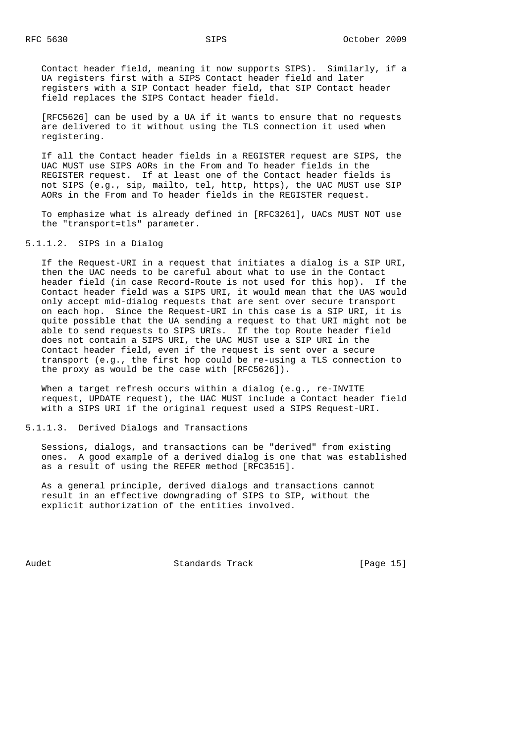Contact header field, meaning it now supports SIPS). Similarly, if a UA registers first with a SIPS Contact header field and later registers with a SIP Contact header field, that SIP Contact header field replaces the SIPS Contact header field.

 [RFC5626] can be used by a UA if it wants to ensure that no requests are delivered to it without using the TLS connection it used when registering.

 If all the Contact header fields in a REGISTER request are SIPS, the UAC MUST use SIPS AORs in the From and To header fields in the REGISTER request. If at least one of the Contact header fields is not SIPS (e.g., sip, mailto, tel, http, https), the UAC MUST use SIP AORs in the From and To header fields in the REGISTER request.

 To emphasize what is already defined in [RFC3261], UACs MUST NOT use the "transport=tls" parameter.

## 5.1.1.2. SIPS in a Dialog

 If the Request-URI in a request that initiates a dialog is a SIP URI, then the UAC needs to be careful about what to use in the Contact header field (in case Record-Route is not used for this hop). If the Contact header field was a SIPS URI, it would mean that the UAS would only accept mid-dialog requests that are sent over secure transport on each hop. Since the Request-URI in this case is a SIP URI, it is quite possible that the UA sending a request to that URI might not be able to send requests to SIPS URIs. If the top Route header field does not contain a SIPS URI, the UAC MUST use a SIP URI in the Contact header field, even if the request is sent over a secure transport (e.g., the first hop could be re-using a TLS connection to the proxy as would be the case with [RFC5626]).

When a target refresh occurs within a dialog (e.g., re-INVITE request, UPDATE request), the UAC MUST include a Contact header field with a SIPS URI if the original request used a SIPS Request-URI.

#### 5.1.1.3. Derived Dialogs and Transactions

 Sessions, dialogs, and transactions can be "derived" from existing ones. A good example of a derived dialog is one that was established as a result of using the REFER method [RFC3515].

 As a general principle, derived dialogs and transactions cannot result in an effective downgrading of SIPS to SIP, without the explicit authorization of the entities involved.

Audet Standards Track [Page 15]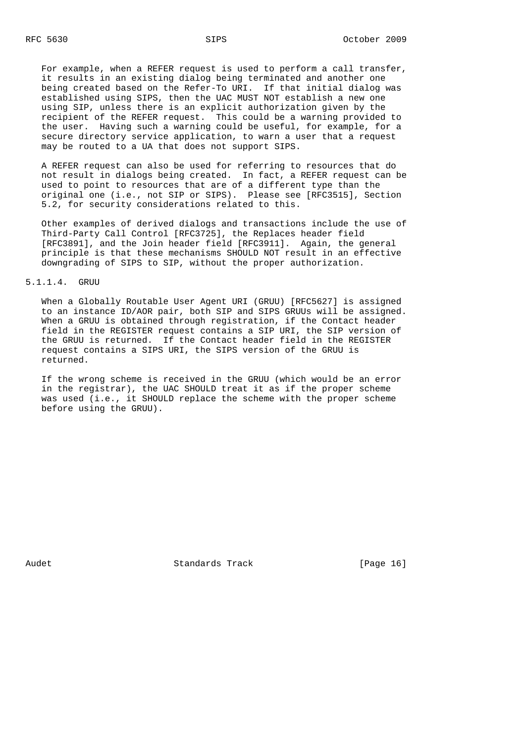For example, when a REFER request is used to perform a call transfer, it results in an existing dialog being terminated and another one being created based on the Refer-To URI. If that initial dialog was established using SIPS, then the UAC MUST NOT establish a new one using SIP, unless there is an explicit authorization given by the recipient of the REFER request. This could be a warning provided to the user. Having such a warning could be useful, for example, for a secure directory service application, to warn a user that a request may be routed to a UA that does not support SIPS.

 A REFER request can also be used for referring to resources that do not result in dialogs being created. In fact, a REFER request can be used to point to resources that are of a different type than the original one (i.e., not SIP or SIPS). Please see [RFC3515], Section 5.2, for security considerations related to this.

 Other examples of derived dialogs and transactions include the use of Third-Party Call Control [RFC3725], the Replaces header field [RFC3891], and the Join header field [RFC3911]. Again, the general principle is that these mechanisms SHOULD NOT result in an effective downgrading of SIPS to SIP, without the proper authorization.

### 5.1.1.4. GRUU

 When a Globally Routable User Agent URI (GRUU) [RFC5627] is assigned to an instance ID/AOR pair, both SIP and SIPS GRUUs will be assigned. When a GRUU is obtained through registration, if the Contact header field in the REGISTER request contains a SIP URI, the SIP version of the GRUU is returned. If the Contact header field in the REGISTER request contains a SIPS URI, the SIPS version of the GRUU is returned.

 If the wrong scheme is received in the GRUU (which would be an error in the registrar), the UAC SHOULD treat it as if the proper scheme was used (i.e., it SHOULD replace the scheme with the proper scheme before using the GRUU).

Audet Standards Track [Page 16]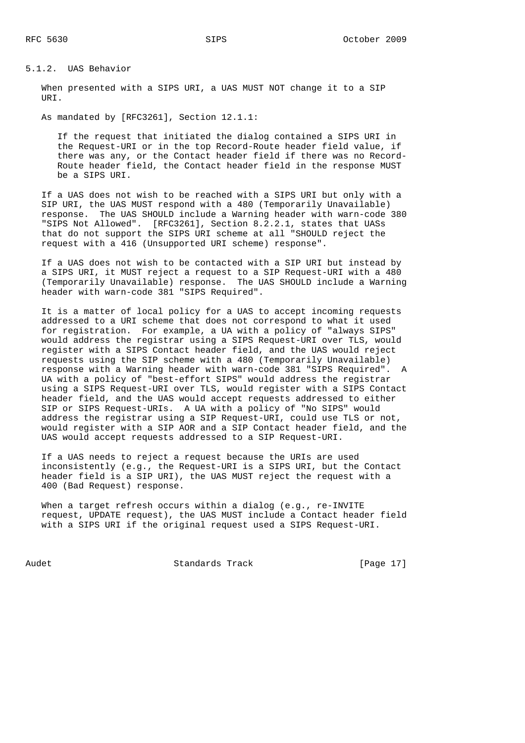### 5.1.2. UAS Behavior

 When presented with a SIPS URI, a UAS MUST NOT change it to a SIP URI.

As mandated by [RFC3261], Section 12.1.1:

 If the request that initiated the dialog contained a SIPS URI in the Request-URI or in the top Record-Route header field value, if there was any, or the Contact header field if there was no Record- Route header field, the Contact header field in the response MUST be a SIPS URI.

 If a UAS does not wish to be reached with a SIPS URI but only with a SIP URI, the UAS MUST respond with a 480 (Temporarily Unavailable) response. The UAS SHOULD include a Warning header with warn-code 380 "SIPS Not Allowed". [RFC3261], Section 8.2.2.1, states that UASs that do not support the SIPS URI scheme at all "SHOULD reject the request with a 416 (Unsupported URI scheme) response".

 If a UAS does not wish to be contacted with a SIP URI but instead by a SIPS URI, it MUST reject a request to a SIP Request-URI with a 480 (Temporarily Unavailable) response. The UAS SHOULD include a Warning header with warn-code 381 "SIPS Required".

 It is a matter of local policy for a UAS to accept incoming requests addressed to a URI scheme that does not correspond to what it used for registration. For example, a UA with a policy of "always SIPS" would address the registrar using a SIPS Request-URI over TLS, would register with a SIPS Contact header field, and the UAS would reject requests using the SIP scheme with a 480 (Temporarily Unavailable) response with a Warning header with warn-code 381 "SIPS Required". A UA with a policy of "best-effort SIPS" would address the registrar using a SIPS Request-URI over TLS, would register with a SIPS Contact header field, and the UAS would accept requests addressed to either SIP or SIPS Request-URIs. A UA with a policy of "No SIPS" would address the registrar using a SIP Request-URI, could use TLS or not, would register with a SIP AOR and a SIP Contact header field, and the UAS would accept requests addressed to a SIP Request-URI.

 If a UAS needs to reject a request because the URIs are used inconsistently (e.g., the Request-URI is a SIPS URI, but the Contact header field is a SIP URI), the UAS MUST reject the request with a 400 (Bad Request) response.

When a target refresh occurs within a dialog (e.g., re-INVITE request, UPDATE request), the UAS MUST include a Contact header field with a SIPS URI if the original request used a SIPS Request-URI.

Audet Standards Track [Page 17]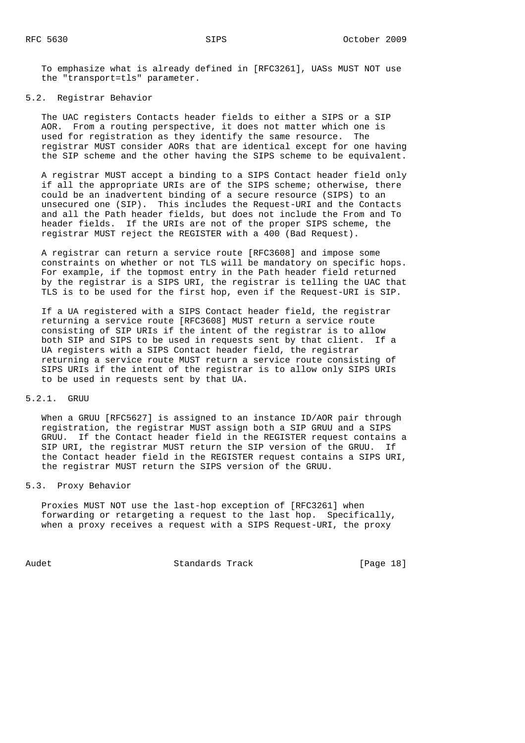To emphasize what is already defined in [RFC3261], UASs MUST NOT use the "transport=tls" parameter.

#### 5.2. Registrar Behavior

 The UAC registers Contacts header fields to either a SIPS or a SIP AOR. From a routing perspective, it does not matter which one is used for registration as they identify the same resource. The registrar MUST consider AORs that are identical except for one having the SIP scheme and the other having the SIPS scheme to be equivalent.

 A registrar MUST accept a binding to a SIPS Contact header field only if all the appropriate URIs are of the SIPS scheme; otherwise, there could be an inadvertent binding of a secure resource (SIPS) to an unsecured one (SIP). This includes the Request-URI and the Contacts and all the Path header fields, but does not include the From and To header fields. If the URIs are not of the proper SIPS scheme, the registrar MUST reject the REGISTER with a 400 (Bad Request).

 A registrar can return a service route [RFC3608] and impose some constraints on whether or not TLS will be mandatory on specific hops. For example, if the topmost entry in the Path header field returned by the registrar is a SIPS URI, the registrar is telling the UAC that TLS is to be used for the first hop, even if the Request-URI is SIP.

 If a UA registered with a SIPS Contact header field, the registrar returning a service route [RFC3608] MUST return a service route consisting of SIP URIs if the intent of the registrar is to allow both SIP and SIPS to be used in requests sent by that client. If a UA registers with a SIPS Contact header field, the registrar returning a service route MUST return a service route consisting of SIPS URIs if the intent of the registrar is to allow only SIPS URIs to be used in requests sent by that UA.

#### 5.2.1. GRUU

 When a GRUU [RFC5627] is assigned to an instance ID/AOR pair through registration, the registrar MUST assign both a SIP GRUU and a SIPS GRUU. If the Contact header field in the REGISTER request contains a SIP URI, the registrar MUST return the SIP version of the GRUU. If the Contact header field in the REGISTER request contains a SIPS URI, the registrar MUST return the SIPS version of the GRUU.

#### 5.3. Proxy Behavior

 Proxies MUST NOT use the last-hop exception of [RFC3261] when forwarding or retargeting a request to the last hop. Specifically, when a proxy receives a request with a SIPS Request-URI, the proxy

Audet **Standards Track** [Page 18]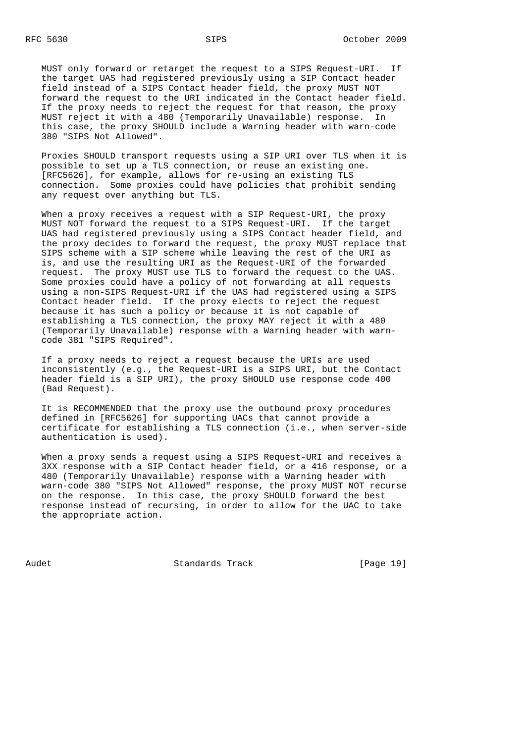MUST only forward or retarget the request to a SIPS Request-URI. If the target UAS had registered previously using a SIP Contact header field instead of a SIPS Contact header field, the proxy MUST NOT forward the request to the URI indicated in the Contact header field. If the proxy needs to reject the request for that reason, the proxy MUST reject it with a 480 (Temporarily Unavailable) response. In this case, the proxy SHOULD include a Warning header with warn-code 380 "SIPS Not Allowed".

 Proxies SHOULD transport requests using a SIP URI over TLS when it is possible to set up a TLS connection, or reuse an existing one. [RFC5626], for example, allows for re-using an existing TLS connection. Some proxies could have policies that prohibit sending any request over anything but TLS.

 When a proxy receives a request with a SIP Request-URI, the proxy MUST NOT forward the request to a SIPS Request-URI. If the target UAS had registered previously using a SIPS Contact header field, and the proxy decides to forward the request, the proxy MUST replace that SIPS scheme with a SIP scheme while leaving the rest of the URI as is, and use the resulting URI as the Request-URI of the forwarded request. The proxy MUST use TLS to forward the request to the UAS. Some proxies could have a policy of not forwarding at all requests using a non-SIPS Request-URI if the UAS had registered using a SIPS Contact header field. If the proxy elects to reject the request because it has such a policy or because it is not capable of establishing a TLS connection, the proxy MAY reject it with a 480 (Temporarily Unavailable) response with a Warning header with warn code 381 "SIPS Required".

 If a proxy needs to reject a request because the URIs are used inconsistently (e.g., the Request-URI is a SIPS URI, but the Contact header field is a SIP URI), the proxy SHOULD use response code 400 (Bad Request).

 It is RECOMMENDED that the proxy use the outbound proxy procedures defined in [RFC5626] for supporting UACs that cannot provide a certificate for establishing a TLS connection (i.e., when server-side authentication is used).

 When a proxy sends a request using a SIPS Request-URI and receives a 3XX response with a SIP Contact header field, or a 416 response, or a 480 (Temporarily Unavailable) response with a Warning header with warn-code 380 "SIPS Not Allowed" response, the proxy MUST NOT recurse on the response. In this case, the proxy SHOULD forward the best response instead of recursing, in order to allow for the UAC to take the appropriate action.

Audet Standards Track [Page 19]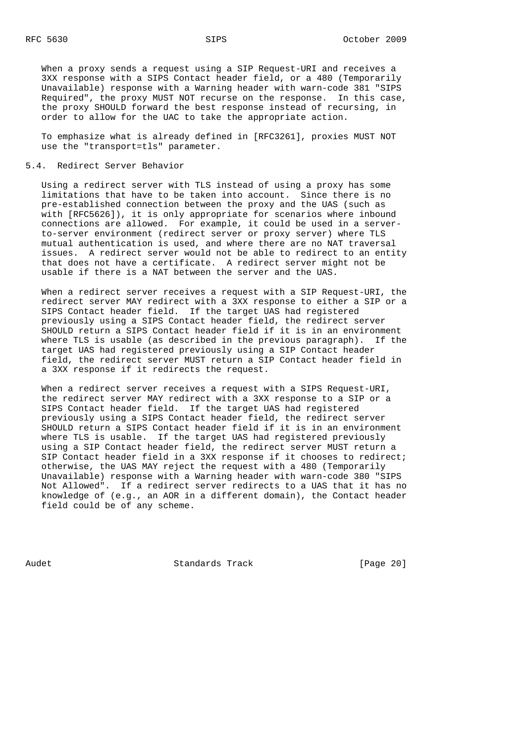When a proxy sends a request using a SIP Request-URI and receives a 3XX response with a SIPS Contact header field, or a 480 (Temporarily Unavailable) response with a Warning header with warn-code 381 "SIPS Required", the proxy MUST NOT recurse on the response. In this case, the proxy SHOULD forward the best response instead of recursing, in order to allow for the UAC to take the appropriate action.

 To emphasize what is already defined in [RFC3261], proxies MUST NOT use the "transport=tls" parameter.

### 5.4. Redirect Server Behavior

 Using a redirect server with TLS instead of using a proxy has some limitations that have to be taken into account. Since there is no pre-established connection between the proxy and the UAS (such as with [RFC5626]), it is only appropriate for scenarios where inbound connections are allowed. For example, it could be used in a server to-server environment (redirect server or proxy server) where TLS mutual authentication is used, and where there are no NAT traversal issues. A redirect server would not be able to redirect to an entity that does not have a certificate. A redirect server might not be usable if there is a NAT between the server and the UAS.

 When a redirect server receives a request with a SIP Request-URI, the redirect server MAY redirect with a 3XX response to either a SIP or a SIPS Contact header field. If the target UAS had registered previously using a SIPS Contact header field, the redirect server SHOULD return a SIPS Contact header field if it is in an environment where TLS is usable (as described in the previous paragraph). If the target UAS had registered previously using a SIP Contact header field, the redirect server MUST return a SIP Contact header field in a 3XX response if it redirects the request.

 When a redirect server receives a request with a SIPS Request-URI, the redirect server MAY redirect with a 3XX response to a SIP or a SIPS Contact header field. If the target UAS had registered previously using a SIPS Contact header field, the redirect server SHOULD return a SIPS Contact header field if it is in an environment where TLS is usable. If the target UAS had registered previously using a SIP Contact header field, the redirect server MUST return a SIP Contact header field in a 3XX response if it chooses to redirect; otherwise, the UAS MAY reject the request with a 480 (Temporarily Unavailable) response with a Warning header with warn-code 380 "SIPS Not Allowed". If a redirect server redirects to a UAS that it has no knowledge of (e.g., an AOR in a different domain), the Contact header field could be of any scheme.

Audet Standards Track [Page 20]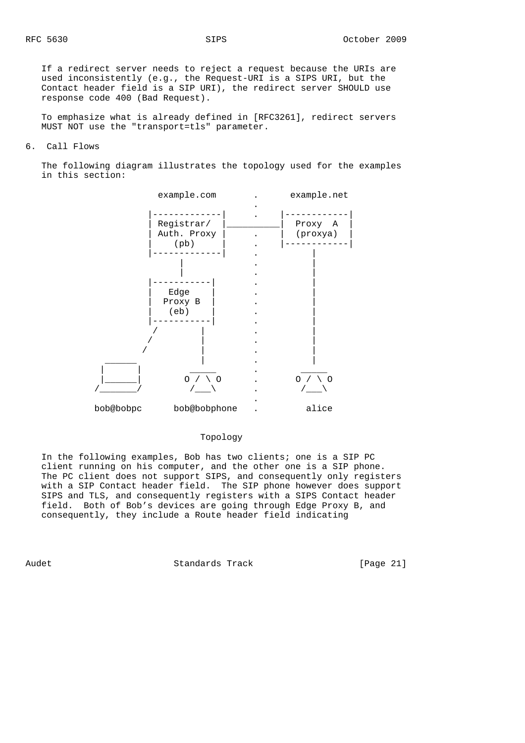If a redirect server needs to reject a request because the URIs are used inconsistently (e.g., the Request-URI is a SIPS URI, but the Contact header field is a SIP URI), the redirect server SHOULD use response code 400 (Bad Request).

 To emphasize what is already defined in [RFC3261], redirect servers MUST NOT use the "transport=tls" parameter.

6. Call Flows

 The following diagram illustrates the topology used for the examples in this section:



## Topology

 In the following examples, Bob has two clients; one is a SIP PC client running on his computer, and the other one is a SIP phone. The PC client does not support SIPS, and consequently only registers with a SIP Contact header field. The SIP phone however does support SIPS and TLS, and consequently registers with a SIPS Contact header field. Both of Bob's devices are going through Edge Proxy B, and consequently, they include a Route header field indicating

Audet Standards Track [Page 21]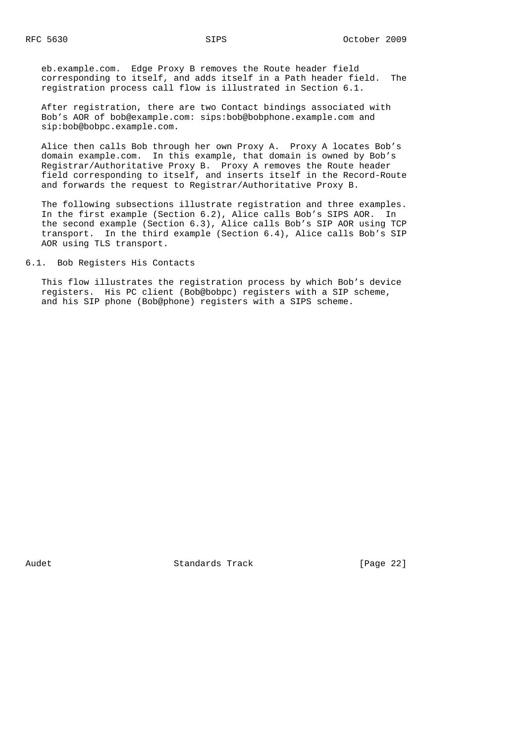eb.example.com. Edge Proxy B removes the Route header field corresponding to itself, and adds itself in a Path header field. The registration process call flow is illustrated in Section 6.1.

 After registration, there are two Contact bindings associated with Bob's AOR of bob@example.com: sips:bob@bobphone.example.com and sip:bob@bobpc.example.com.

 Alice then calls Bob through her own Proxy A. Proxy A locates Bob's domain example.com. In this example, that domain is owned by Bob's Registrar/Authoritative Proxy B. Proxy A removes the Route header field corresponding to itself, and inserts itself in the Record-Route and forwards the request to Registrar/Authoritative Proxy B.

 The following subsections illustrate registration and three examples. In the first example (Section 6.2), Alice calls Bob's SIPS AOR. In the second example (Section 6.3), Alice calls Bob's SIP AOR using TCP transport. In the third example (Section 6.4), Alice calls Bob's SIP AOR using TLS transport.

6.1. Bob Registers His Contacts

 This flow illustrates the registration process by which Bob's device registers. His PC client (Bob@bobpc) registers with a SIP scheme, and his SIP phone (Bob@phone) registers with a SIPS scheme.

Audet Standards Track [Page 22]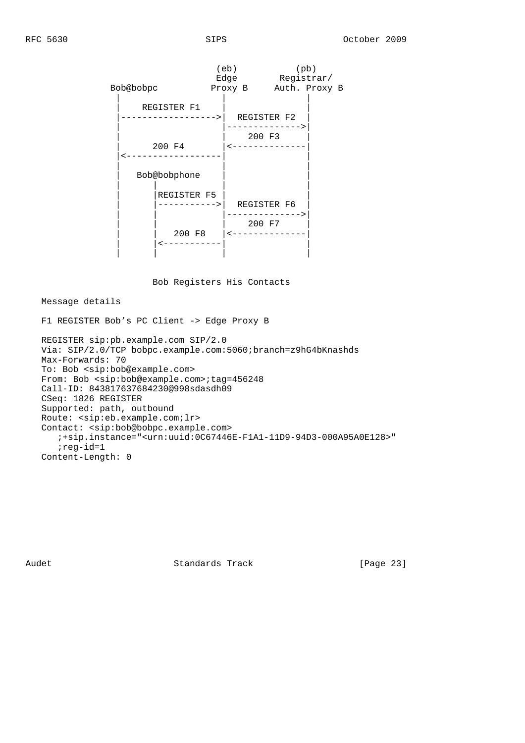

Bob Registers His Contacts

Message details

F1 REGISTER Bob's PC Client -> Edge Proxy B

 REGISTER sip:pb.example.com SIP/2.0 Via: SIP/2.0/TCP bobpc.example.com:5060;branch=z9hG4bKnashds Max-Forwards: 70 To: Bob <sip:bob@example.com> From: Bob <sip:bob@example.com>;tag=456248 Call-ID: 843817637684230@998sdasdh09 CSeq: 1826 REGISTER Supported: path, outbound Route: <sip:eb.example.com;lr> Contact: <sip:bob@bobpc.example.com> ;+sip.instance="<urn:uuid:0C67446E-F1A1-11D9-94D3-000A95A0E128>" ;reg-id=1 Content-Length: 0

Audet **Standards Track** [Page 23]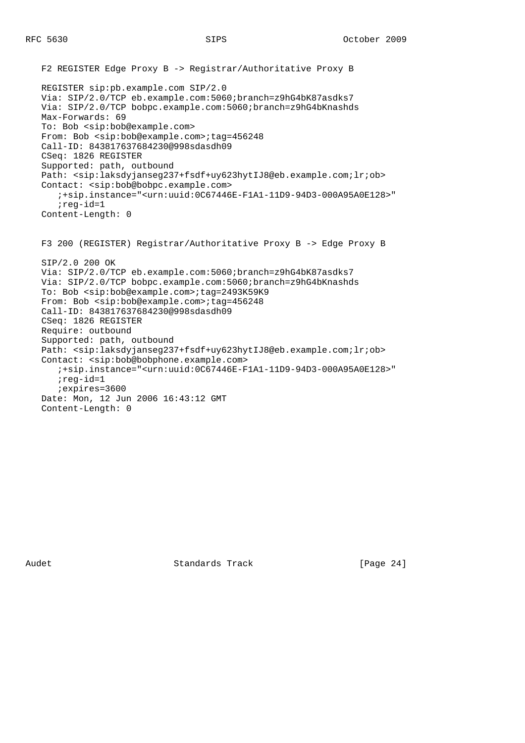```
 F2 REGISTER Edge Proxy B -> Registrar/Authoritative Proxy B
 REGISTER sip:pb.example.com SIP/2.0
 Via: SIP/2.0/TCP eb.example.com:5060;branch=z9hG4bK87asdks7
 Via: SIP/2.0/TCP bobpc.example.com:5060;branch=z9hG4bKnashds
 Max-Forwards: 69
 To: Bob <sip:bob@example.com>
 From: Bob <sip:bob@example.com>;tag=456248
 Call-ID: 843817637684230@998sdasdh09
 CSeq: 1826 REGISTER
 Supported: path, outbound
 Path: <sip:laksdyjanseg237+fsdf+uy623hytIJ8@eb.example.com;lr;ob>
 Contact: <sip:bob@bobpc.example.com>
    ;+sip.instance="<urn:uuid:0C67446E-F1A1-11D9-94D3-000A95A0E128>"
    ;reg-id=1
 Content-Length: 0
 F3 200 (REGISTER) Registrar/Authoritative Proxy B -> Edge Proxy B
 SIP/2.0 200 OK
 Via: SIP/2.0/TCP eb.example.com:5060;branch=z9hG4bK87asdks7
 Via: SIP/2.0/TCP bobpc.example.com:5060;branch=z9hG4bKnashds
 To: Bob <sip:bob@example.com>;tag=2493K59K9
From: Bob <sip:bob@example.com>;tag=456248
 Call-ID: 843817637684230@998sdasdh09
 CSeq: 1826 REGISTER
 Require: outbound
 Supported: path, outbound
 Path: <sip:laksdyjanseg237+fsdf+uy623hytIJ8@eb.example.com;lr;ob>
 Contact: <sip:bob@bobphone.example.com>
    ;+sip.instance="<urn:uuid:0C67446E-F1A1-11D9-94D3-000A95A0E128>"
    ;reg-id=1
    ;expires=3600
 Date: Mon, 12 Jun 2006 16:43:12 GMT
 Content-Length: 0
```
Audet Standards Track [Page 24]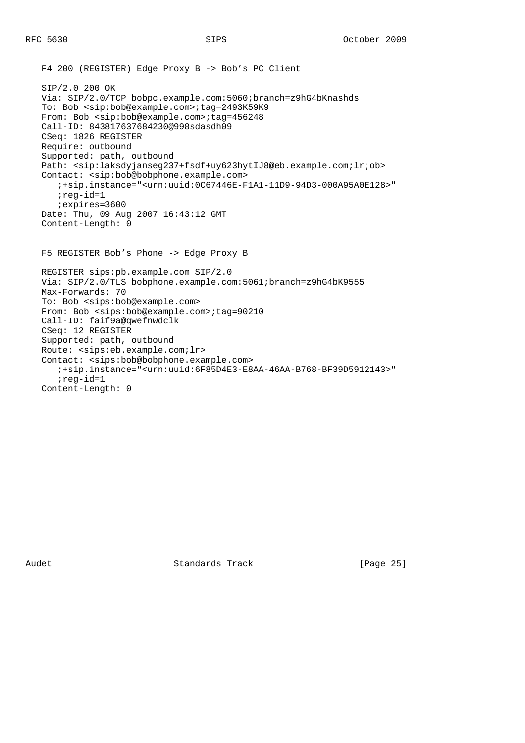```
 F4 200 (REGISTER) Edge Proxy B -> Bob's PC Client
 SIP/2.0 200 OK
 Via: SIP/2.0/TCP bobpc.example.com:5060;branch=z9hG4bKnashds
 To: Bob <sip:bob@example.com>;tag=2493K59K9
From: Bob <sip:bob@example.com>;tag=456248
 Call-ID: 843817637684230@998sdasdh09
 CSeq: 1826 REGISTER
 Require: outbound
 Supported: path, outbound
 Path: <sip:laksdyjanseg237+fsdf+uy623hytIJ8@eb.example.com;lr;ob>
 Contact: <sip:bob@bobphone.example.com>
    ;+sip.instance="<urn:uuid:0C67446E-F1A1-11D9-94D3-000A95A0E128>"
    ;reg-id=1
    ;expires=3600
 Date: Thu, 09 Aug 2007 16:43:12 GMT
 Content-Length: 0
 F5 REGISTER Bob's Phone -> Edge Proxy B
 REGISTER sips:pb.example.com SIP/2.0
 Via: SIP/2.0/TLS bobphone.example.com:5061;branch=z9hG4bK9555
 Max-Forwards: 70
 To: Bob <sips:bob@example.com>
 From: Bob <sips:bob@example.com>;tag=90210
 Call-ID: faif9a@qwefnwdclk
 CSeq: 12 REGISTER
 Supported: path, outbound
 Route: <sips:eb.example.com;lr>
 Contact: <sips:bob@bobphone.example.com>
    ;+sip.instance="<urn:uuid:6F85D4E3-E8AA-46AA-B768-BF39D5912143>"
    ;reg-id=1
 Content-Length: 0
```
Audet Standards Track [Page 25]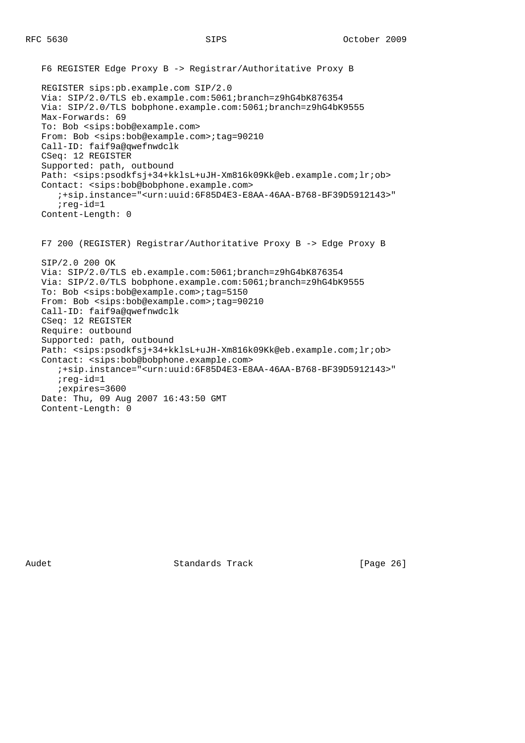```
 F6 REGISTER Edge Proxy B -> Registrar/Authoritative Proxy B
 REGISTER sips:pb.example.com SIP/2.0
 Via: SIP/2.0/TLS eb.example.com:5061;branch=z9hG4bK876354
 Via: SIP/2.0/TLS bobphone.example.com:5061;branch=z9hG4bK9555
 Max-Forwards: 69
 To: Bob <sips:bob@example.com>
From: Bob <sips:bob@example.com>;tag=90210
 Call-ID: faif9a@qwefnwdclk
 CSeq: 12 REGISTER
 Supported: path, outbound
 Path: <sips:psodkfsj+34+kklsL+uJH-Xm816k09Kk@eb.example.com;lr;ob>
 Contact: <sips:bob@bobphone.example.com>
    ;+sip.instance="<urn:uuid:6F85D4E3-E8AA-46AA-B768-BF39D5912143>"
    ;reg-id=1
 Content-Length: 0
 F7 200 (REGISTER) Registrar/Authoritative Proxy B -> Edge Proxy B
 SIP/2.0 200 OK
 Via: SIP/2.0/TLS eb.example.com:5061;branch=z9hG4bK876354
 Via: SIP/2.0/TLS bobphone.example.com:5061;branch=z9hG4bK9555
 To: Bob <sips:bob@example.com>;tag=5150
 From: Bob <sips:bob@example.com>;tag=90210
 Call-ID: faif9a@qwefnwdclk
 CSeq: 12 REGISTER
 Require: outbound
 Supported: path, outbound
Path: <sips:psodkfsj+34+kklsL+uJH-Xm816k09Kk@eb.example.com;lr;ob>
 Contact: <sips:bob@bobphone.example.com>
    ;+sip.instance="<urn:uuid:6F85D4E3-E8AA-46AA-B768-BF39D5912143>"
    ;reg-id=1
    ;expires=3600
 Date: Thu, 09 Aug 2007 16:43:50 GMT
 Content-Length: 0
```
Audet **Standards Track** [Page 26]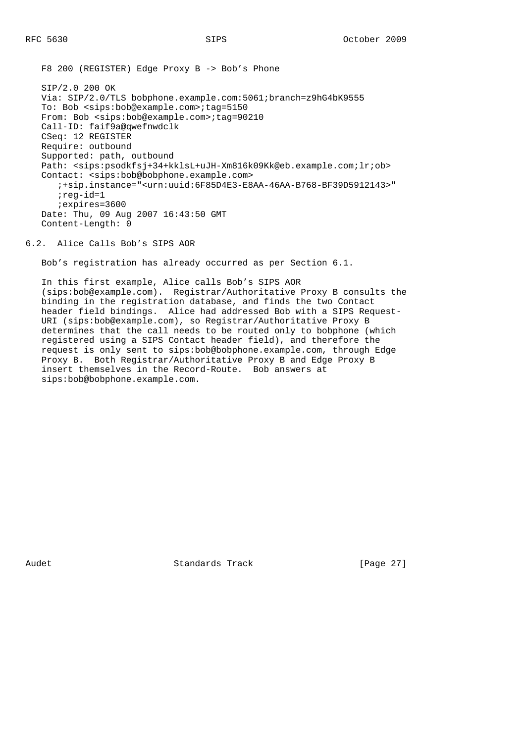F8 200 (REGISTER) Edge Proxy B -> Bob's Phone SIP/2.0 200 OK Via: SIP/2.0/TLS bobphone.example.com:5061;branch=z9hG4bK9555 To: Bob <sips:bob@example.com>;tag=5150 From: Bob <sips:bob@example.com>;tag=90210 Call-ID: faif9a@qwefnwdclk CSeq: 12 REGISTER Require: outbound Supported: path, outbound Path: <sips:psodkfsj+34+kklsL+uJH-Xm816k09Kk@eb.example.com;lr;ob> Contact: <sips:bob@bobphone.example.com> ;+sip.instance="<urn:uuid:6F85D4E3-E8AA-46AA-B768-BF39D5912143>" ;reg-id=1 ;expires=3600 Date: Thu, 09 Aug 2007 16:43:50 GMT Content-Length: 0

#### 6.2. Alice Calls Bob's SIPS AOR

Bob's registration has already occurred as per Section 6.1.

 In this first example, Alice calls Bob's SIPS AOR (sips:bob@example.com). Registrar/Authoritative Proxy B consults the binding in the registration database, and finds the two Contact header field bindings. Alice had addressed Bob with a SIPS Request- URI (sips:bob@example.com), so Registrar/Authoritative Proxy B determines that the call needs to be routed only to bobphone (which registered using a SIPS Contact header field), and therefore the request is only sent to sips:bob@bobphone.example.com, through Edge Proxy B. Both Registrar/Authoritative Proxy B and Edge Proxy B insert themselves in the Record-Route. Bob answers at sips:bob@bobphone.example.com.

Audet **Standards Track** [Page 27]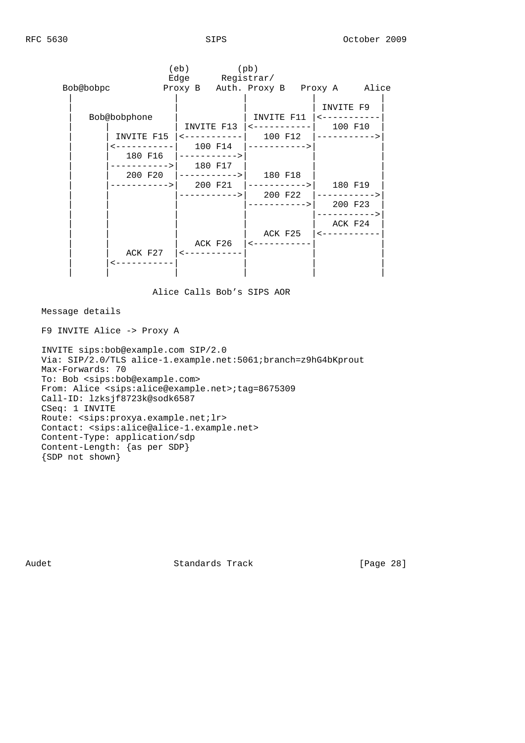|                  |                                                                                                                                                                                                                        | $(eb)$ $(pb)$                    |            |                                                                                                                                 |                                           |  |
|------------------|------------------------------------------------------------------------------------------------------------------------------------------------------------------------------------------------------------------------|----------------------------------|------------|---------------------------------------------------------------------------------------------------------------------------------|-------------------------------------------|--|
|                  |                                                                                                                                                                                                                        | Edge Registrar/                  |            |                                                                                                                                 |                                           |  |
| <b>Bob@bobpc</b> | Proxy B Auth. Proxy B Proxy A Alice                                                                                                                                                                                    |                                  |            |                                                                                                                                 |                                           |  |
|                  | <b>Bob@bobphone</b><br>INVITE F15  <----------  100 F12  -----------><br>-----------  100 F14  -----------><br>180 $F16$ $ -----$<br>---------->    180 F17<br>200 F20  <br>---------->  200 F21  ---------->  180 F19 |                                  | INVITE F13 | INVITE F11<br>$\leftarrow$ ----------  100 F10<br>$--------> 180 F18$<br>---------->     200 F22    -----------><br>----------> | INVITE F9<br>$-$ ----------<br>200 F23    |  |
|                  | ACK $F27$                                                                                                                                                                                                              | $\leftarrow$ - - - - - - - - - - | ACK F26    | ACK F25                                                                                                                         | ACK F24<br>$\leftarrow$ - - - - - - - - - |  |

Alice Calls Bob's SIPS AOR

```
 Message details
```
F9 INVITE Alice -> Proxy A

```
 INVITE sips:bob@example.com SIP/2.0
 Via: SIP/2.0/TLS alice-1.example.net:5061;branch=z9hG4bKprout
 Max-Forwards: 70
 To: Bob <sips:bob@example.com>
From: Alice <sips:alice@example.net>;tag=8675309
 Call-ID: lzksjf8723k@sodk6587
 CSeq: 1 INVITE
 Route: <sips:proxya.example.net;lr>
 Contact: <sips:alice@alice-1.example.net>
 Content-Type: application/sdp
 Content-Length: {as per SDP}
 {SDP not shown}
```
Audet **Standards Track** [Page 28]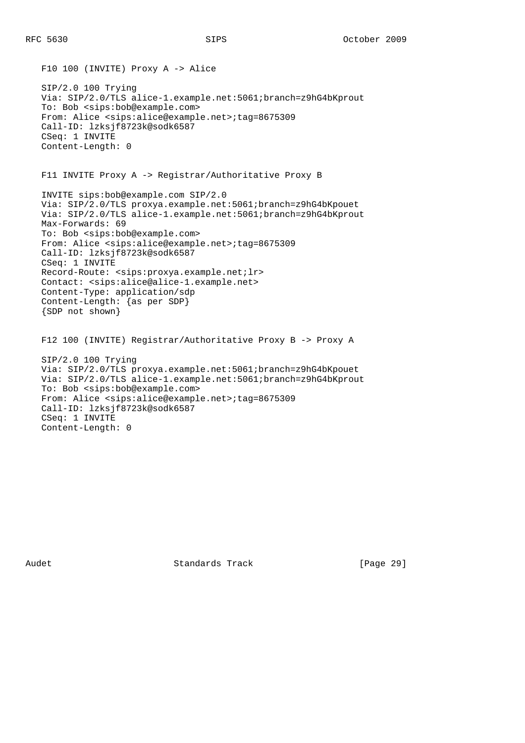F10 100 (INVITE) Proxy A -> Alice SIP/2.0 100 Trying Via: SIP/2.0/TLS alice-1.example.net:5061;branch=z9hG4bKprout To: Bob <sips:bob@example.com> From: Alice <sips:alice@example.net>;tag=8675309 Call-ID: lzksjf8723k@sodk6587 CSeq: 1 INVITE Content-Length: 0 F11 INVITE Proxy A -> Registrar/Authoritative Proxy B INVITE sips:bob@example.com SIP/2.0 Via: SIP/2.0/TLS proxya.example.net:5061;branch=z9hG4bKpouet Via: SIP/2.0/TLS alice-1.example.net:5061;branch=z9hG4bKprout Max-Forwards: 69 To: Bob <sips:bob@example.com> From: Alice <sips:alice@example.net>;tag=8675309 Call-ID: lzksjf8723k@sodk6587 CSeq: 1 INVITE Record-Route: <sips:proxya.example.net;lr> Contact: <sips:alice@alice-1.example.net> Content-Type: application/sdp Content-Length: {as per SDP} {SDP not shown} F12 100 (INVITE) Registrar/Authoritative Proxy B -> Proxy A SIP/2.0 100 Trying Via: SIP/2.0/TLS proxya.example.net:5061;branch=z9hG4bKpouet Via: SIP/2.0/TLS alice-1.example.net:5061;branch=z9hG4bKprout To: Bob <sips:bob@example.com> From: Alice <sips:alice@example.net>;tag=8675309 Call-ID: lzksjf8723k@sodk6587 CSeq: 1 INVITE Content-Length: 0

Audet Standards Track [Page 29]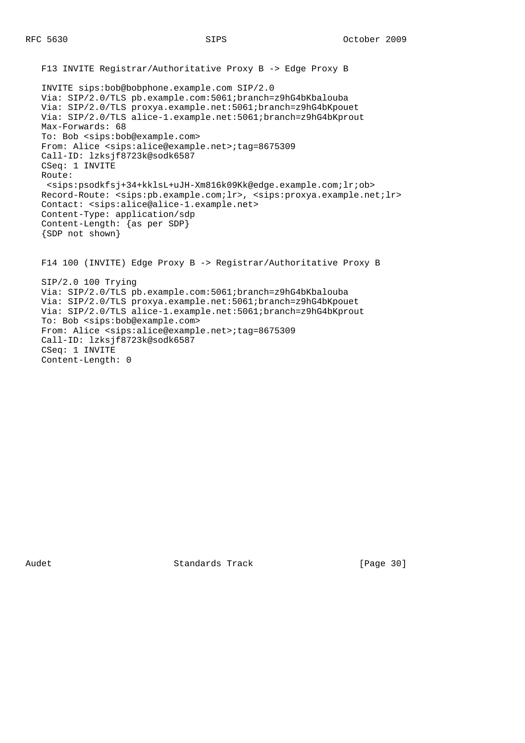```
 F13 INVITE Registrar/Authoritative Proxy B -> Edge Proxy B
 INVITE sips:bob@bobphone.example.com SIP/2.0
 Via: SIP/2.0/TLS pb.example.com:5061;branch=z9hG4bKbalouba
 Via: SIP/2.0/TLS proxya.example.net:5061;branch=z9hG4bKpouet
 Via: SIP/2.0/TLS alice-1.example.net:5061;branch=z9hG4bKprout
 Max-Forwards: 68
 To: Bob <sips:bob@example.com>
From: Alice <sips:alice@example.net>;tag=8675309
 Call-ID: lzksjf8723k@sodk6587
 CSeq: 1 INVITE
 Route:
  <sips:psodkfsj+34+kklsL+uJH-Xm816k09Kk@edge.example.com;lr;ob>
 Record-Route: <sips:pb.example.com;lr>, <sips:proxya.example.net;lr>
 Contact: <sips:alice@alice-1.example.net>
 Content-Type: application/sdp
 Content-Length: {as per SDP}
 {SDP not shown}
 F14 100 (INVITE) Edge Proxy B -> Registrar/Authoritative Proxy B
 SIP/2.0 100 Trying
 Via: SIP/2.0/TLS pb.example.com:5061;branch=z9hG4bKbalouba
 Via: SIP/2.0/TLS proxya.example.net:5061;branch=z9hG4bKpouet
 Via: SIP/2.0/TLS alice-1.example.net:5061;branch=z9hG4bKprout
 To: Bob <sips:bob@example.com>
From: Alice <sips:alice@example.net>;tag=8675309
 Call-ID: lzksjf8723k@sodk6587
 CSeq: 1 INVITE
```
Content-Length: 0

Audet Standards Track [Page 30]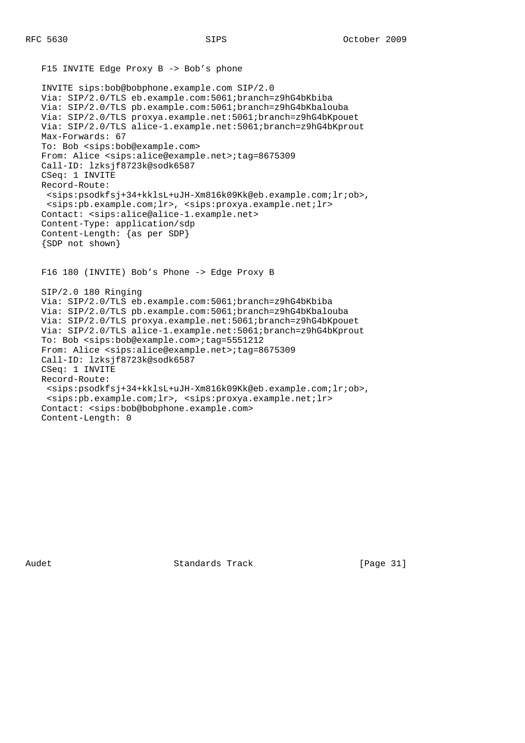```
 F15 INVITE Edge Proxy B -> Bob's phone
 INVITE sips:bob@bobphone.example.com SIP/2.0
 Via: SIP/2.0/TLS eb.example.com:5061;branch=z9hG4bKbiba
 Via: SIP/2.0/TLS pb.example.com:5061;branch=z9hG4bKbalouba
 Via: SIP/2.0/TLS proxya.example.net:5061;branch=z9hG4bKpouet
 Via: SIP/2.0/TLS alice-1.example.net:5061;branch=z9hG4bKprout
 Max-Forwards: 67
 To: Bob <sips:bob@example.com>
From: Alice <sips:alice@example.net>;tag=8675309
 Call-ID: lzksjf8723k@sodk6587
 CSeq: 1 INVITE
 Record-Route:
  <sips:psodkfsj+34+kklsL+uJH-Xm816k09Kk@eb.example.com;lr;ob>,
  <sips:pb.example.com;lr>, <sips:proxya.example.net;lr>
 Contact: <sips:alice@alice-1.example.net>
 Content-Type: application/sdp
 Content-Length: {as per SDP}
 {SDP not shown}
 F16 180 (INVITE) Bob's Phone -> Edge Proxy B
 SIP/2.0 180 Ringing
 Via: SIP/2.0/TLS eb.example.com:5061;branch=z9hG4bKbiba
 Via: SIP/2.0/TLS pb.example.com:5061;branch=z9hG4bKbalouba
 Via: SIP/2.0/TLS proxya.example.net:5061;branch=z9hG4bKpouet
 Via: SIP/2.0/TLS alice-1.example.net:5061;branch=z9hG4bKprout
 To: Bob <sips:bob@example.com>;tag=5551212
 From: Alice <sips:alice@example.net>;tag=8675309
 Call-ID: lzksjf8723k@sodk6587
 CSeq: 1 INVITE
 Record-Route:
  <sips:psodkfsj+34+kklsL+uJH-Xm816k09Kk@eb.example.com;lr;ob>,
  <sips:pb.example.com;lr>, <sips:proxya.example.net;lr>
 Contact: <sips:bob@bobphone.example.com>
 Content-Length: 0
```
Audet Standards Track [Page 31]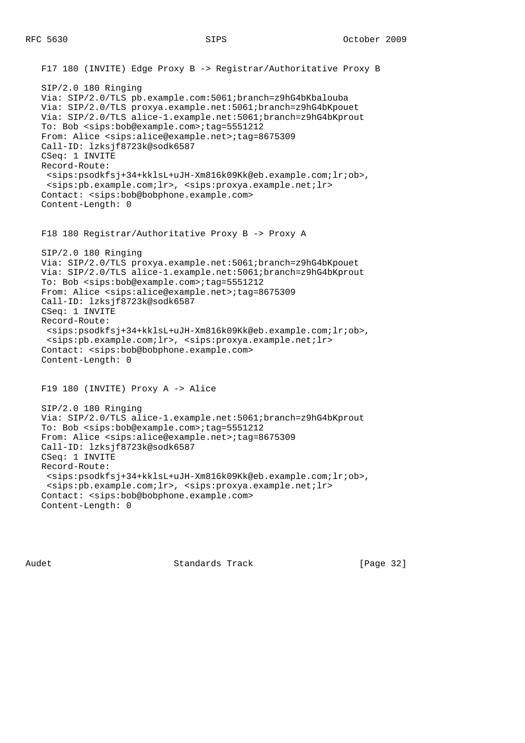```
 F17 180 (INVITE) Edge Proxy B -> Registrar/Authoritative Proxy B
 SIP/2.0 180 Ringing
 Via: SIP/2.0/TLS pb.example.com:5061;branch=z9hG4bKbalouba
 Via: SIP/2.0/TLS proxya.example.net:5061;branch=z9hG4bKpouet
 Via: SIP/2.0/TLS alice-1.example.net:5061;branch=z9hG4bKprout
 To: Bob <sips:bob@example.com>;tag=5551212
 From: Alice <sips:alice@example.net>;tag=8675309
 Call-ID: lzksjf8723k@sodk6587
 CSeq: 1 INVITE
 Record-Route:
  <sips:psodkfsj+34+kklsL+uJH-Xm816k09Kk@eb.example.com;lr;ob>,
  <sips:pb.example.com;lr>, <sips:proxya.example.net;lr>
 Contact: <sips:bob@bobphone.example.com>
 Content-Length: 0
 F18 180 Registrar/Authoritative Proxy B -> Proxy A
 SIP/2.0 180 Ringing
 Via: SIP/2.0/TLS proxya.example.net:5061;branch=z9hG4bKpouet
 Via: SIP/2.0/TLS alice-1.example.net:5061;branch=z9hG4bKprout
 To: Bob <sips:bob@example.com>;tag=5551212
 From: Alice <sips:alice@example.net>;tag=8675309
 Call-ID: lzksjf8723k@sodk6587
 CSeq: 1 INVITE
 Record-Route:
  <sips:psodkfsj+34+kklsL+uJH-Xm816k09Kk@eb.example.com;lr;ob>,
  <sips:pb.example.com;lr>, <sips:proxya.example.net;lr>
 Contact: <sips:bob@bobphone.example.com>
 Content-Length: 0
 F19 180 (INVITE) Proxy A -> Alice
 SIP/2.0 180 Ringing
 Via: SIP/2.0/TLS alice-1.example.net:5061;branch=z9hG4bKprout
 To: Bob <sips:bob@example.com>;tag=5551212
 From: Alice <sips:alice@example.net>;tag=8675309
 Call-ID: lzksjf8723k@sodk6587
 CSeq: 1 INVITE
 Record-Route:
  <sips:psodkfsj+34+kklsL+uJH-Xm816k09Kk@eb.example.com;lr;ob>,
  <sips:pb.example.com;lr>, <sips:proxya.example.net;lr>
 Contact: <sips:bob@bobphone.example.com>
 Content-Length: 0
```
Audet Standards Track [Page 32]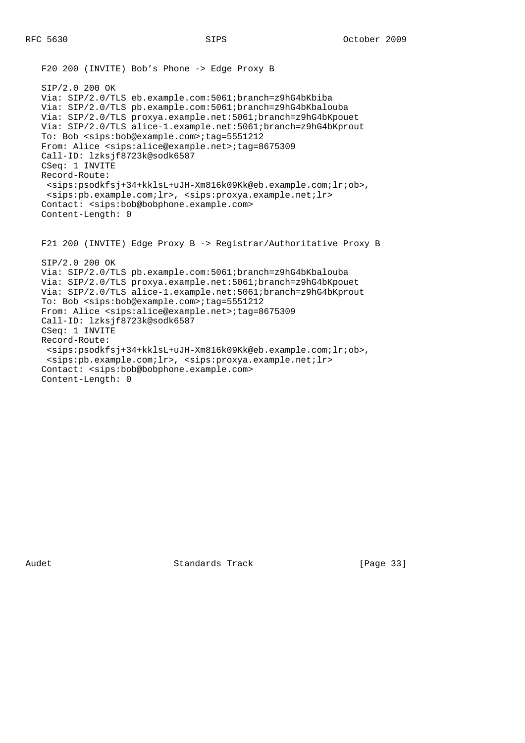```
 F20 200 (INVITE) Bob's Phone -> Edge Proxy B
 SIP/2.0 200 OK
 Via: SIP/2.0/TLS eb.example.com:5061;branch=z9hG4bKbiba
 Via: SIP/2.0/TLS pb.example.com:5061;branch=z9hG4bKbalouba
 Via: SIP/2.0/TLS proxya.example.net:5061;branch=z9hG4bKpouet
 Via: SIP/2.0/TLS alice-1.example.net:5061;branch=z9hG4bKprout
 To: Bob <sips:bob@example.com>;tag=5551212
From: Alice <sips:alice@example.net>;tag=8675309
 Call-ID: lzksjf8723k@sodk6587
 CSeq: 1 INVITE
 Record-Route:
  <sips:psodkfsj+34+kklsL+uJH-Xm816k09Kk@eb.example.com;lr;ob>,
  <sips:pb.example.com;lr>, <sips:proxya.example.net;lr>
 Contact: <sips:bob@bobphone.example.com>
 Content-Length: 0
 F21 200 (INVITE) Edge Proxy B -> Registrar/Authoritative Proxy B
 SIP/2.0 200 OK
 Via: SIP/2.0/TLS pb.example.com:5061;branch=z9hG4bKbalouba
 Via: SIP/2.0/TLS proxya.example.net:5061;branch=z9hG4bKpouet
 Via: SIP/2.0/TLS alice-1.example.net:5061;branch=z9hG4bKprout
 To: Bob <sips:bob@example.com>;tag=5551212
 From: Alice <sips:alice@example.net>;tag=8675309
 Call-ID: lzksjf8723k@sodk6587
 CSeq: 1 INVITE
 Record-Route:
  <sips:psodkfsj+34+kklsL+uJH-Xm816k09Kk@eb.example.com;lr;ob>,
  <sips:pb.example.com;lr>, <sips:proxya.example.net;lr>
 Contact: <sips:bob@bobphone.example.com>
 Content-Length: 0
```
Audet Standards Track [Page 33]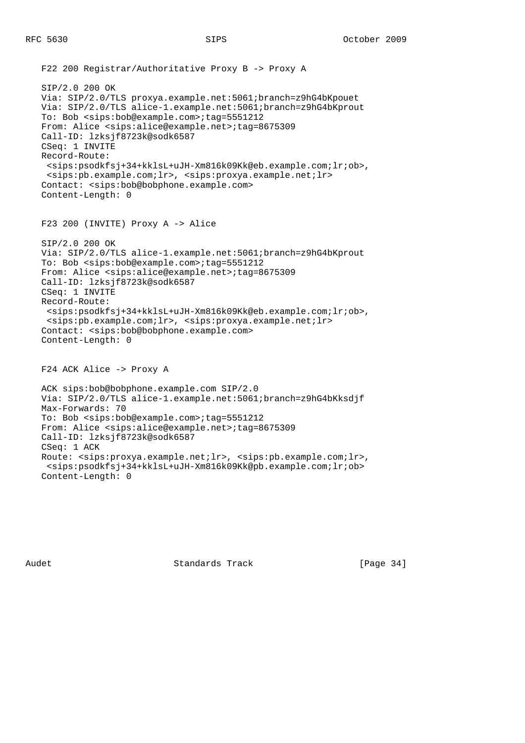F22 200 Registrar/Authoritative Proxy B -> Proxy A SIP/2.0 200 OK Via: SIP/2.0/TLS proxya.example.net:5061;branch=z9hG4bKpouet Via: SIP/2.0/TLS alice-1.example.net:5061;branch=z9hG4bKprout To: Bob <sips:bob@example.com>;tag=5551212 From: Alice <sips:alice@example.net>;tag=8675309 Call-ID: lzksjf8723k@sodk6587 CSeq: 1 INVITE Record-Route: <sips:psodkfsj+34+kklsL+uJH-Xm816k09Kk@eb.example.com;lr;ob>, <sips:pb.example.com;lr>, <sips:proxya.example.net;lr> Contact: <sips:bob@bobphone.example.com> Content-Length: 0 F23 200 (INVITE) Proxy A -> Alice SIP/2.0 200 OK Via: SIP/2.0/TLS alice-1.example.net:5061;branch=z9hG4bKprout To: Bob <sips:bob@example.com>;tag=5551212 From: Alice <sips:alice@example.net>;tag=8675309 Call-ID: lzksjf8723k@sodk6587 CSeq: 1 INVITE Record-Route: <sips:psodkfsj+34+kklsL+uJH-Xm816k09Kk@eb.example.com;lr;ob>, <sips:pb.example.com;lr>, <sips:proxya.example.net;lr> Contact: <sips:bob@bobphone.example.com> Content-Length: 0 F24 ACK Alice -> Proxy A ACK sips:bob@bobphone.example.com SIP/2.0 Via: SIP/2.0/TLS alice-1.example.net:5061;branch=z9hG4bKksdjf Max-Forwards: 70 To: Bob <sips:bob@example.com>;tag=5551212 From: Alice <sips:alice@example.net>;tag=8675309 Call-ID: lzksjf8723k@sodk6587 CSeq: 1 ACK Route: <sips:proxya.example.net;lr>, <sips:pb.example.com;lr>, <sips:psodkfsj+34+kklsL+uJH-Xm816k09Kk@pb.example.com;lr;ob> Content-Length: 0

Audet **Standards Track** [Page 34]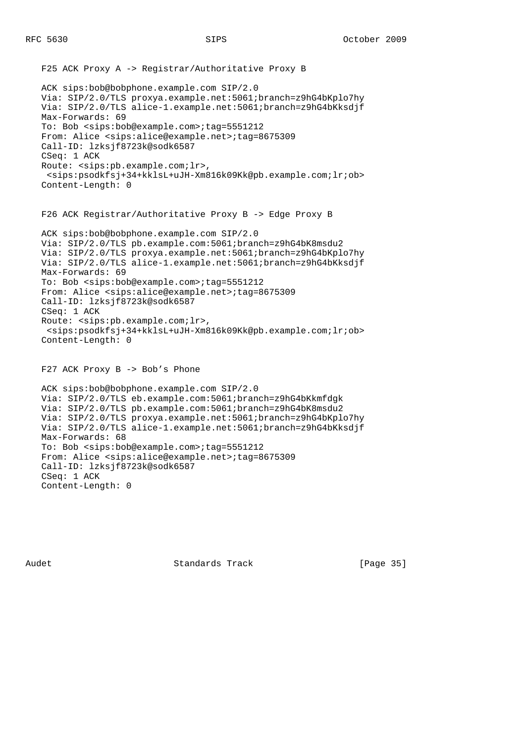F25 ACK Proxy A -> Registrar/Authoritative Proxy B ACK sips:bob@bobphone.example.com SIP/2.0 Via: SIP/2.0/TLS proxya.example.net:5061;branch=z9hG4bKplo7hy Via: SIP/2.0/TLS alice-1.example.net:5061;branch=z9hG4bKksdjf Max-Forwards: 69 To: Bob <sips:bob@example.com>;tag=5551212 From: Alice <sips:alice@example.net>;tag=8675309 Call-ID: lzksjf8723k@sodk6587 CSeq: 1 ACK Route: <sips:pb.example.com;lr>, <sips:psodkfsj+34+kklsL+uJH-Xm816k09Kk@pb.example.com;lr;ob> Content-Length: 0 F26 ACK Registrar/Authoritative Proxy B -> Edge Proxy B ACK sips:bob@bobphone.example.com SIP/2.0 Via: SIP/2.0/TLS pb.example.com:5061;branch=z9hG4bK8msdu2 Via: SIP/2.0/TLS proxya.example.net:5061;branch=z9hG4bKplo7hy Via: SIP/2.0/TLS alice-1.example.net:5061;branch=z9hG4bKksdjf Max-Forwards: 69 To: Bob <sips:bob@example.com>;tag=5551212 From: Alice <sips:alice@example.net>;tag=8675309 Call-ID: lzksjf8723k@sodk6587 CSeq: 1 ACK Route: <sips:pb.example.com;lr>, <sips:psodkfsj+34+kklsL+uJH-Xm816k09Kk@pb.example.com;lr;ob> Content-Length: 0 F27 ACK Proxy B -> Bob's Phone ACK sips:bob@bobphone.example.com SIP/2.0 Via: SIP/2.0/TLS eb.example.com:5061;branch=z9hG4bKkmfdgk Via: SIP/2.0/TLS pb.example.com:5061;branch=z9hG4bK8msdu2 Via: SIP/2.0/TLS proxya.example.net:5061;branch=z9hG4bKplo7hy Via: SIP/2.0/TLS alice-1.example.net:5061;branch=z9hG4bKksdjf Max-Forwards: 68 To: Bob <sips:bob@example.com>;tag=5551212 From: Alice <sips:alice@example.net>;tag=8675309 Call-ID: lzksjf8723k@sodk6587 CSeq: 1 ACK Content-Length: 0

Audet Standards Track [Page 35]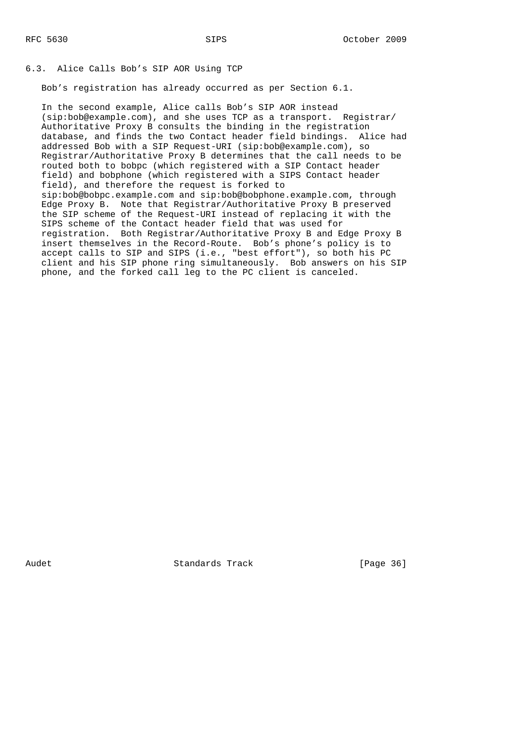### 6.3. Alice Calls Bob's SIP AOR Using TCP

Bob's registration has already occurred as per Section 6.1.

 In the second example, Alice calls Bob's SIP AOR instead (sip:bob@example.com), and she uses TCP as a transport. Registrar/ Authoritative Proxy B consults the binding in the registration database, and finds the two Contact header field bindings. Alice had addressed Bob with a SIP Request-URI (sip:bob@example.com), so Registrar/Authoritative Proxy B determines that the call needs to be routed both to bobpc (which registered with a SIP Contact header field) and bobphone (which registered with a SIPS Contact header field), and therefore the request is forked to sip:bob@bobpc.example.com and sip:bob@bobphone.example.com, through Edge Proxy B. Note that Registrar/Authoritative Proxy B preserved the SIP scheme of the Request-URI instead of replacing it with the SIPS scheme of the Contact header field that was used for registration. Both Registrar/Authoritative Proxy B and Edge Proxy B insert themselves in the Record-Route. Bob's phone's policy is to accept calls to SIP and SIPS (i.e., "best effort"), so both his PC client and his SIP phone ring simultaneously. Bob answers on his SIP phone, and the forked call leg to the PC client is canceled.

Audet Standards Track [Page 36]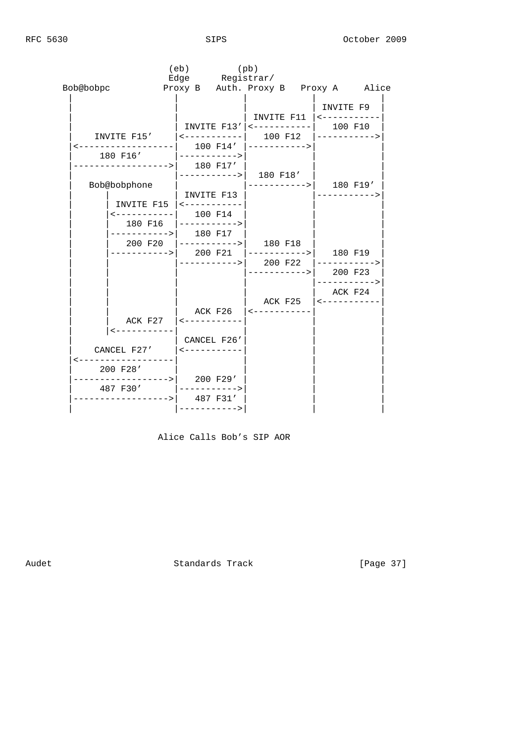| <b>Bob@bobpc</b>                                                                                                                                                                    | $(eb)$ $(pb)$<br>Edge Registrar/<br>Proxy B Auth. Proxy B Proxy A Alice                                                                                                                                       |                                                                                                                                            |                                                                   |  |
|-------------------------------------------------------------------------------------------------------------------------------------------------------------------------------------|---------------------------------------------------------------------------------------------------------------------------------------------------------------------------------------------------------------|--------------------------------------------------------------------------------------------------------------------------------------------|-------------------------------------------------------------------|--|
| <------------------  100 F14'  -----------><br>180 F16'  -----------><br>---------------->    180 F17′<br><b>Bob@bobphone</b><br>------------                                       | ----------->   180 F18'<br>INVITE F13<br>INVITE $F15$   <-----------<br>100 F14<br>180 F16 $ -----$<br>---------->  180 F17<br>200 F20  ----------->  180 F18<br>----------->  200 F21  ----------->  180 F19 | INVITE F11  <br>INVITE F13'   <-----------  100 F10<br>$--------> 180 F19'$<br>----------->  200 F22  -----------><br>$--------&>$ 200 F23 | INVITE F9<br>$- - - - - - - - - - - -$<br>-----------><br>ACK F24 |  |
| $\leftarrow$ - - - - - - - - - -<br>CANCEL F27' $ $ <-----------<br>------------------<br>200 F28'<br>---------------->     200 F29′<br>487 F30'  <br>------------------>  487 F31' | CANCEL F26'<br>$---------&$<br>----------->                                                                                                                                                                   | $ACK$ F25   $\leftarrow$ ----------<br>ACK F26  <-----------                                                                               |                                                                   |  |

Alice Calls Bob's SIP AOR

Audet Standards Track [Page 37]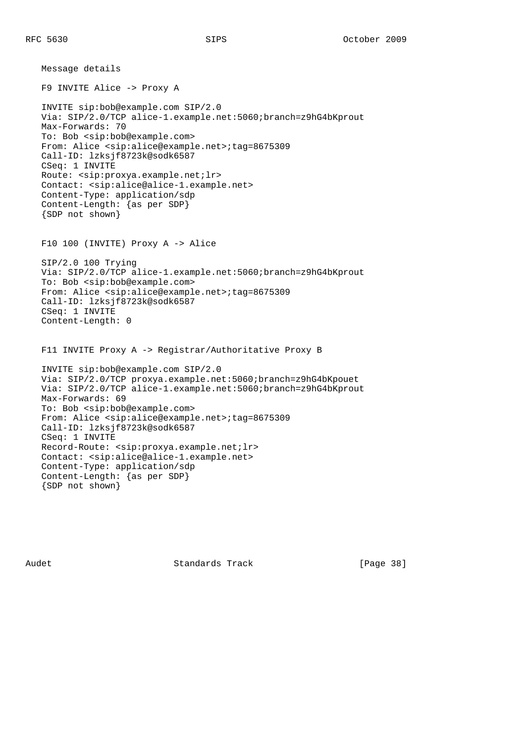Message details F9 INVITE Alice -> Proxy A INVITE sip:bob@example.com SIP/2.0 Via: SIP/2.0/TCP alice-1.example.net:5060;branch=z9hG4bKprout Max-Forwards: 70 To: Bob <sip:bob@example.com> From: Alice <sip:alice@example.net>;tag=8675309 Call-ID: lzksjf8723k@sodk6587 CSeq: 1 INVITE Route: <sip:proxya.example.net;lr> Contact: <sip:alice@alice-1.example.net> Content-Type: application/sdp Content-Length: {as per SDP} {SDP not shown} F10 100 (INVITE) Proxy A -> Alice SIP/2.0 100 Trying Via: SIP/2.0/TCP alice-1.example.net:5060;branch=z9hG4bKprout To: Bob <sip:bob@example.com> From: Alice <sip:alice@example.net>;tag=8675309 Call-ID: lzksjf8723k@sodk6587 CSeq: 1 INVITE Content-Length: 0 F11 INVITE Proxy A -> Registrar/Authoritative Proxy B INVITE sip:bob@example.com SIP/2.0 Via: SIP/2.0/TCP proxya.example.net:5060;branch=z9hG4bKpouet Via: SIP/2.0/TCP alice-1.example.net:5060;branch=z9hG4bKprout Max-Forwards: 69 To: Bob <sip:bob@example.com> From: Alice <sip:alice@example.net>;tag=8675309 Call-ID: lzksjf8723k@sodk6587 CSeq: 1 INVITE Record-Route: <sip:proxya.example.net;lr> Contact: <sip:alice@alice-1.example.net> Content-Type: application/sdp Content-Length: {as per SDP} {SDP not shown}

Audet **Standards Track** [Page 38]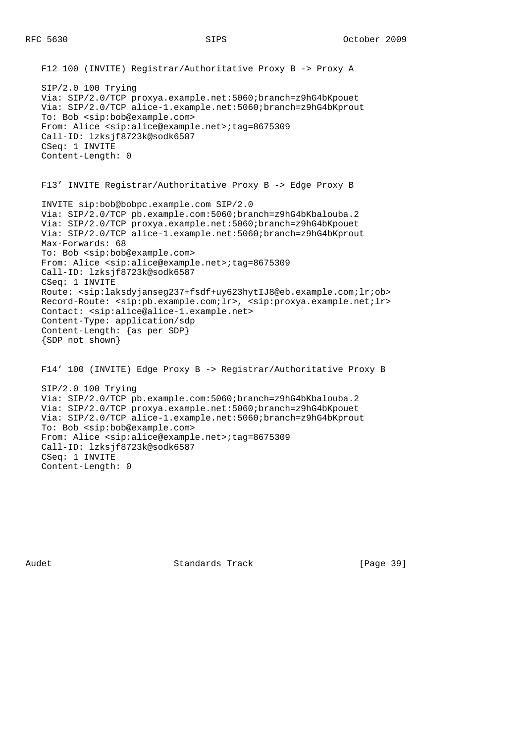```
 F12 100 (INVITE) Registrar/Authoritative Proxy B -> Proxy A
 SIP/2.0 100 Trying
 Via: SIP/2.0/TCP proxya.example.net:5060;branch=z9hG4bKpouet
 Via: SIP/2.0/TCP alice-1.example.net:5060;branch=z9hG4bKprout
 To: Bob <sip:bob@example.com>
 From: Alice <sip:alice@example.net>;tag=8675309
 Call-ID: lzksjf8723k@sodk6587
 CSeq: 1 INVITE
 Content-Length: 0
 F13' INVITE Registrar/Authoritative Proxy B -> Edge Proxy B
 INVITE sip:bob@bobpc.example.com SIP/2.0
 Via: SIP/2.0/TCP pb.example.com:5060;branch=z9hG4bKbalouba.2
 Via: SIP/2.0/TCP proxya.example.net:5060;branch=z9hG4bKpouet
 Via: SIP/2.0/TCP alice-1.example.net:5060;branch=z9hG4bKprout
 Max-Forwards: 68
 To: Bob <sip:bob@example.com>
 From: Alice <sip:alice@example.net>;tag=8675309
 Call-ID: lzksjf8723k@sodk6587
 CSeq: 1 INVITE
 Route: <sip:laksdyjanseg237+fsdf+uy623hytIJ8@eb.example.com;lr;ob>
 Record-Route: <sip:pb.example.com;lr>, <sip:proxya.example.net;lr>
 Contact: <sip:alice@alice-1.example.net>
 Content-Type: application/sdp
 Content-Length: {as per SDP}
 {SDP not shown}
 F14' 100 (INVITE) Edge Proxy B -> Registrar/Authoritative Proxy B
 SIP/2.0 100 Trying
 Via: SIP/2.0/TCP pb.example.com:5060;branch=z9hG4bKbalouba.2
 Via: SIP/2.0/TCP proxya.example.net:5060;branch=z9hG4bKpouet
 Via: SIP/2.0/TCP alice-1.example.net:5060;branch=z9hG4bKprout
 To: Bob <sip:bob@example.com>
 From: Alice <sip:alice@example.net>;tag=8675309
 Call-ID: lzksjf8723k@sodk6587
 CSeq: 1 INVITE
 Content-Length: 0
```
Audet Standards Track [Page 39]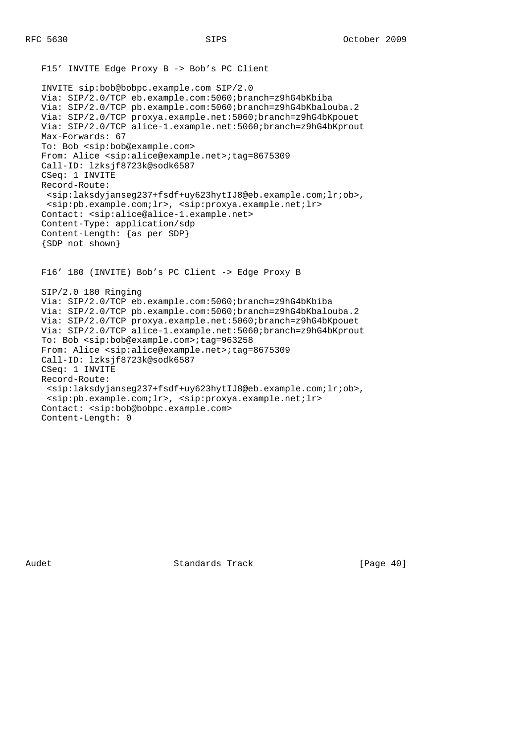```
 F15' INVITE Edge Proxy B -> Bob's PC Client
 INVITE sip:bob@bobpc.example.com SIP/2.0
 Via: SIP/2.0/TCP eb.example.com:5060;branch=z9hG4bKbiba
 Via: SIP/2.0/TCP pb.example.com:5060;branch=z9hG4bKbalouba.2
 Via: SIP/2.0/TCP proxya.example.net:5060;branch=z9hG4bKpouet
Via: SIP/2.0/TCP alice-1.example.net:5060;branch=z9hG4bKprout
 Max-Forwards: 67
 To: Bob <sip:bob@example.com>
From: Alice <sip:alice@example.net>;tag=8675309
 Call-ID: lzksjf8723k@sodk6587
 CSeq: 1 INVITE
 Record-Route:
  <sip:laksdyjanseg237+fsdf+uy623hytIJ8@eb.example.com;lr;ob>,
  <sip:pb.example.com;lr>, <sip:proxya.example.net;lr>
 Contact: <sip:alice@alice-1.example.net>
 Content-Type: application/sdp
 Content-Length: {as per SDP}
 {SDP not shown}
 F16' 180 (INVITE) Bob's PC Client -> Edge Proxy B
 SIP/2.0 180 Ringing
 Via: SIP/2.0/TCP eb.example.com:5060;branch=z9hG4bKbiba
 Via: SIP/2.0/TCP pb.example.com:5060;branch=z9hG4bKbalouba.2
 Via: SIP/2.0/TCP proxya.example.net:5060;branch=z9hG4bKpouet
 Via: SIP/2.0/TCP alice-1.example.net:5060;branch=z9hG4bKprout
 To: Bob <sip:bob@example.com>;tag=963258
 From: Alice <sip:alice@example.net>;tag=8675309
 Call-ID: lzksjf8723k@sodk6587
 CSeq: 1 INVITE
 Record-Route:
  <sip:laksdyjanseg237+fsdf+uy623hytIJ8@eb.example.com;lr;ob>,
  <sip:pb.example.com;lr>, <sip:proxya.example.net;lr>
 Contact: <sip:bob@bobpc.example.com>
 Content-Length: 0
```
Audet **Standards Track** [Page 40]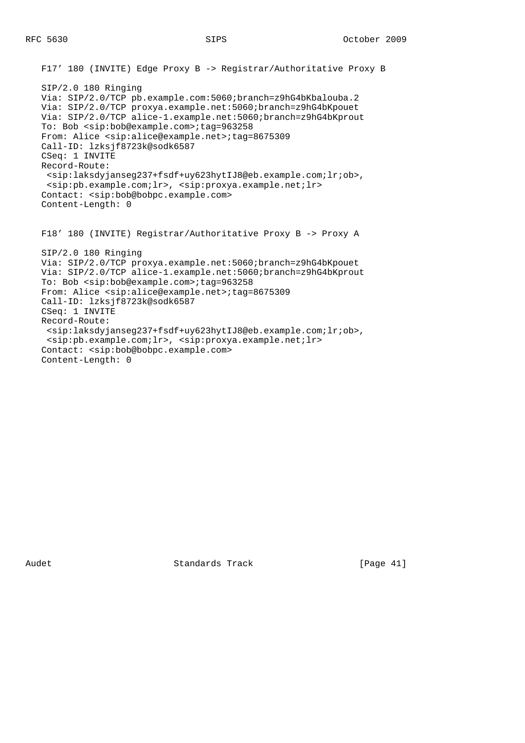```
 F17' 180 (INVITE) Edge Proxy B -> Registrar/Authoritative Proxy B
 SIP/2.0 180 Ringing
 Via: SIP/2.0/TCP pb.example.com:5060;branch=z9hG4bKbalouba.2
 Via: SIP/2.0/TCP proxya.example.net:5060;branch=z9hG4bKpouet
 Via: SIP/2.0/TCP alice-1.example.net:5060;branch=z9hG4bKprout
 To: Bob <sip:bob@example.com>;tag=963258
 From: Alice <sip:alice@example.net>;tag=8675309
 Call-ID: lzksjf8723k@sodk6587
 CSeq: 1 INVITE
 Record-Route:
  <sip:laksdyjanseg237+fsdf+uy623hytIJ8@eb.example.com;lr;ob>,
  <sip:pb.example.com;lr>, <sip:proxya.example.net;lr>
 Contact: <sip:bob@bobpc.example.com>
 Content-Length: 0
 F18' 180 (INVITE) Registrar/Authoritative Proxy B -> Proxy A
 SIP/2.0 180 Ringing
 Via: SIP/2.0/TCP proxya.example.net:5060;branch=z9hG4bKpouet
Via: SIP/2.0/TCP alice-1.example.net:5060;branch=z9hG4bKprout
 To: Bob <sip:bob@example.com>;tag=963258
 From: Alice <sip:alice@example.net>;tag=8675309
 Call-ID: lzksjf8723k@sodk6587
 CSeq: 1 INVITE
 Record-Route:
  <sip:laksdyjanseg237+fsdf+uy623hytIJ8@eb.example.com;lr;ob>,
  <sip:pb.example.com;lr>, <sip:proxya.example.net;lr>
 Contact: <sip:bob@bobpc.example.com>
 Content-Length: 0
```
Audet Standards Track [Page 41]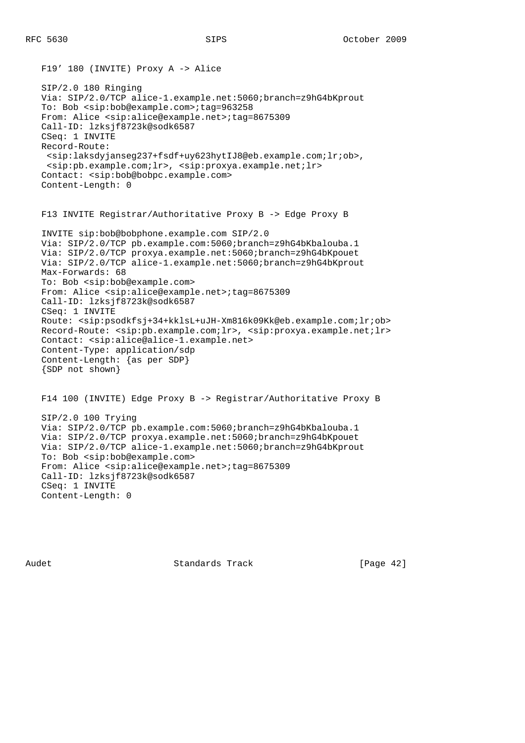F19' 180 (INVITE) Proxy A -> Alice SIP/2.0 180 Ringing Via: SIP/2.0/TCP alice-1.example.net:5060;branch=z9hG4bKprout To: Bob <sip:bob@example.com>;tag=963258 From: Alice <sip:alice@example.net>;tag=8675309 Call-ID: lzksjf8723k@sodk6587 CSeq: 1 INVITE Record-Route: <sip:laksdyjanseg237+fsdf+uy623hytIJ8@eb.example.com;lr;ob>, <sip:pb.example.com;lr>, <sip:proxya.example.net;lr> Contact: <sip:bob@bobpc.example.com> Content-Length: 0 F13 INVITE Registrar/Authoritative Proxy B -> Edge Proxy B INVITE sip:bob@bobphone.example.com SIP/2.0 Via: SIP/2.0/TCP pb.example.com:5060;branch=z9hG4bKbalouba.1 Via: SIP/2.0/TCP proxya.example.net:5060;branch=z9hG4bKpouet Via: SIP/2.0/TCP alice-1.example.net:5060;branch=z9hG4bKprout Max-Forwards: 68 To: Bob <sip:bob@example.com> From: Alice <sip:alice@example.net>;tag=8675309 Call-ID: lzksjf8723k@sodk6587 CSeq: 1 INVITE Route: <sip:psodkfsj+34+kklsL+uJH-Xm816k09Kk@eb.example.com;lr;ob> Record-Route: <sip:pb.example.com;lr>, <sip:proxya.example.net;lr> Contact: <sip:alice@alice-1.example.net> Content-Type: application/sdp Content-Length: {as per SDP} {SDP not shown} F14 100 (INVITE) Edge Proxy B -> Registrar/Authoritative Proxy B SIP/2.0 100 Trying Via: SIP/2.0/TCP pb.example.com:5060;branch=z9hG4bKbalouba.1 Via: SIP/2.0/TCP proxya.example.net:5060;branch=z9hG4bKpouet Via: SIP/2.0/TCP alice-1.example.net:5060;branch=z9hG4bKprout To: Bob <sip:bob@example.com> From: Alice <sip:alice@example.net>;tag=8675309 Call-ID: lzksjf8723k@sodk6587 CSeq: 1 INVITE Content-Length: 0

Audet **Standards Track** [Page 42]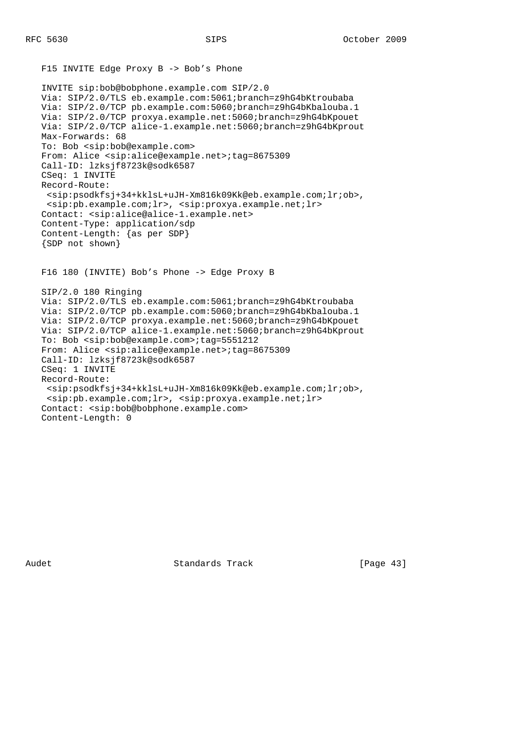```
 F15 INVITE Edge Proxy B -> Bob's Phone
 INVITE sip:bob@bobphone.example.com SIP/2.0
 Via: SIP/2.0/TLS eb.example.com:5061;branch=z9hG4bKtroubaba
 Via: SIP/2.0/TCP pb.example.com:5060;branch=z9hG4bKbalouba.1
 Via: SIP/2.0/TCP proxya.example.net:5060;branch=z9hG4bKpouet
 Via: SIP/2.0/TCP alice-1.example.net:5060;branch=z9hG4bKprout
 Max-Forwards: 68
 To: Bob <sip:bob@example.com>
From: Alice <sip:alice@example.net>;tag=8675309
 Call-ID: lzksjf8723k@sodk6587
 CSeq: 1 INVITE
 Record-Route:
  <sip:psodkfsj+34+kklsL+uJH-Xm816k09Kk@eb.example.com;lr;ob>,
  <sip:pb.example.com;lr>, <sip:proxya.example.net;lr>
 Contact: <sip:alice@alice-1.example.net>
 Content-Type: application/sdp
 Content-Length: {as per SDP}
 {SDP not shown}
 F16 180 (INVITE) Bob's Phone -> Edge Proxy B
 SIP/2.0 180 Ringing
 Via: SIP/2.0/TLS eb.example.com:5061;branch=z9hG4bKtroubaba
 Via: SIP/2.0/TCP pb.example.com:5060;branch=z9hG4bKbalouba.1
 Via: SIP/2.0/TCP proxya.example.net:5060;branch=z9hG4bKpouet
 Via: SIP/2.0/TCP alice-1.example.net:5060;branch=z9hG4bKprout
 To: Bob <sip:bob@example.com>;tag=5551212
 From: Alice <sip:alice@example.net>;tag=8675309
 Call-ID: lzksjf8723k@sodk6587
 CSeq: 1 INVITE
 Record-Route:
  <sip:psodkfsj+34+kklsL+uJH-Xm816k09Kk@eb.example.com;lr;ob>,
  <sip:pb.example.com;lr>, <sip:proxya.example.net;lr>
 Contact: <sip:bob@bobphone.example.com>
 Content-Length: 0
```
Audet **Standards Track** [Page 43]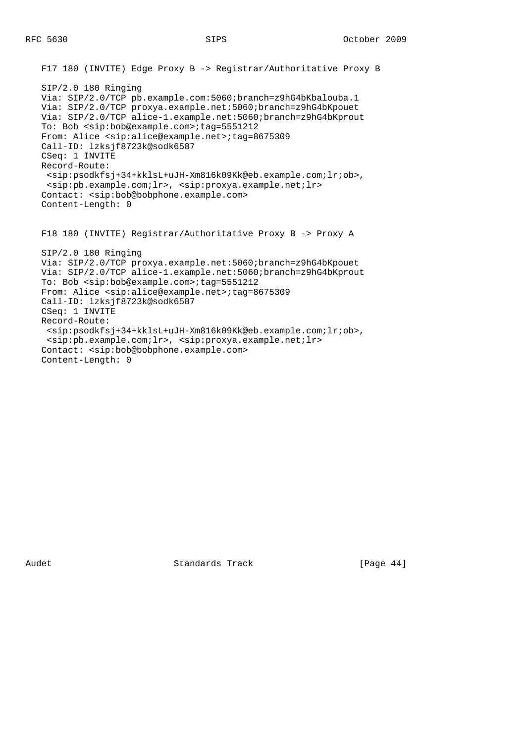```
 F17 180 (INVITE) Edge Proxy B -> Registrar/Authoritative Proxy B
 SIP/2.0 180 Ringing
 Via: SIP/2.0/TCP pb.example.com:5060;branch=z9hG4bKbalouba.1
 Via: SIP/2.0/TCP proxya.example.net:5060;branch=z9hG4bKpouet
 Via: SIP/2.0/TCP alice-1.example.net:5060;branch=z9hG4bKprout
 To: Bob <sip:bob@example.com>;tag=5551212
 From: Alice <sip:alice@example.net>;tag=8675309
 Call-ID: lzksjf8723k@sodk6587
 CSeq: 1 INVITE
 Record-Route:
  <sip:psodkfsj+34+kklsL+uJH-Xm816k09Kk@eb.example.com;lr;ob>,
  <sip:pb.example.com;lr>, <sip:proxya.example.net;lr>
 Contact: <sip:bob@bobphone.example.com>
 Content-Length: 0
 F18 180 (INVITE) Registrar/Authoritative Proxy B -> Proxy A
 SIP/2.0 180 Ringing
 Via: SIP/2.0/TCP proxya.example.net:5060;branch=z9hG4bKpouet
Via: SIP/2.0/TCP alice-1.example.net:5060;branch=z9hG4bKprout
 To: Bob <sip:bob@example.com>;tag=5551212
 From: Alice <sip:alice@example.net>;tag=8675309
 Call-ID: lzksjf8723k@sodk6587
 CSeq: 1 INVITE
 Record-Route:
  <sip:psodkfsj+34+kklsL+uJH-Xm816k09Kk@eb.example.com;lr;ob>,
  <sip:pb.example.com;lr>, <sip:proxya.example.net;lr>
 Contact: <sip:bob@bobphone.example.com>
 Content-Length: 0
```
Audet Standards Track [Page 44]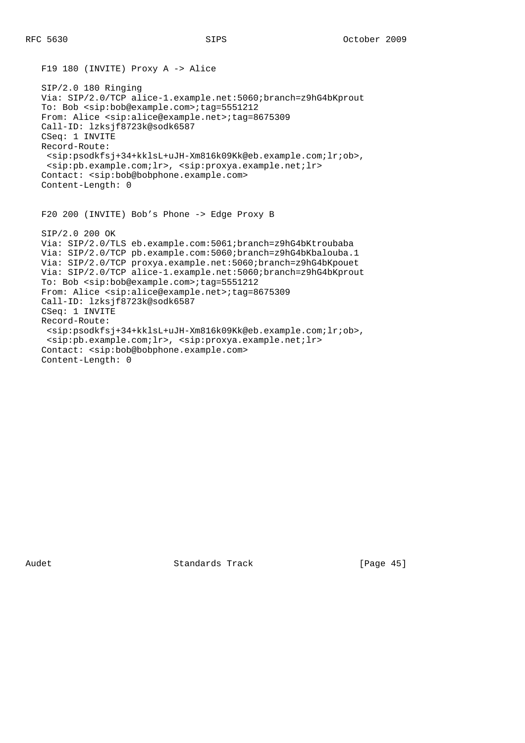F19 180 (INVITE) Proxy A -> Alice SIP/2.0 180 Ringing Via: SIP/2.0/TCP alice-1.example.net:5060;branch=z9hG4bKprout To: Bob <sip:bob@example.com>;tag=5551212 From: Alice <sip:alice@example.net>;tag=8675309 Call-ID: lzksjf8723k@sodk6587 CSeq: 1 INVITE Record-Route: <sip:psodkfsj+34+kklsL+uJH-Xm816k09Kk@eb.example.com;lr;ob>, <sip:pb.example.com;lr>, <sip:proxya.example.net;lr> Contact: <sip:bob@bobphone.example.com> Content-Length: 0 F20 200 (INVITE) Bob's Phone -> Edge Proxy B SIP/2.0 200 OK Via: SIP/2.0/TLS eb.example.com:5061;branch=z9hG4bKtroubaba Via: SIP/2.0/TCP pb.example.com:5060;branch=z9hG4bKbalouba.1 Via: SIP/2.0/TCP proxya.example.net:5060;branch=z9hG4bKpouet Via: SIP/2.0/TCP alice-1.example.net:5060;branch=z9hG4bKprout To: Bob <sip:bob@example.com>;tag=5551212 From: Alice <sip:alice@example.net>;tag=8675309 Call-ID: lzksjf8723k@sodk6587 CSeq: 1 INVITE Record-Route: <sip:psodkfsj+34+kklsL+uJH-Xm816k09Kk@eb.example.com;lr;ob>, <sip:pb.example.com;lr>, <sip:proxya.example.net;lr> Contact: <sip:bob@bobphone.example.com> Content-Length: 0

Audet Standards Track [Page 45]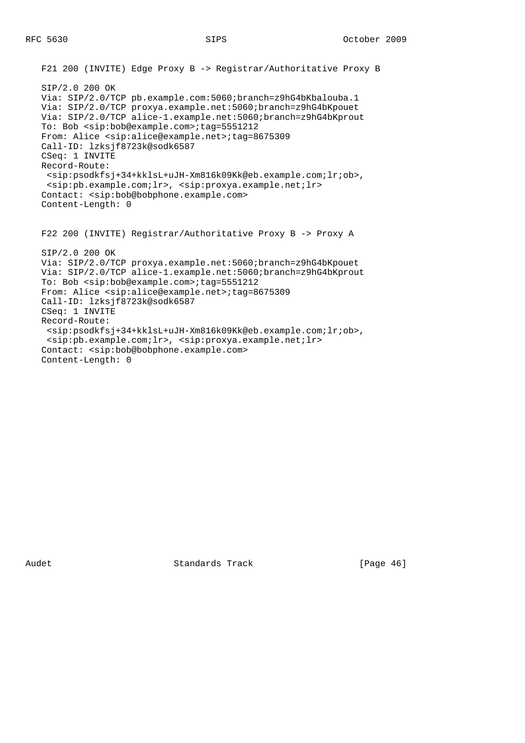```
 F21 200 (INVITE) Edge Proxy B -> Registrar/Authoritative Proxy B
 SIP/2.0 200 OK
 Via: SIP/2.0/TCP pb.example.com:5060;branch=z9hG4bKbalouba.1
 Via: SIP/2.0/TCP proxya.example.net:5060;branch=z9hG4bKpouet
 Via: SIP/2.0/TCP alice-1.example.net:5060;branch=z9hG4bKprout
 To: Bob <sip:bob@example.com>;tag=5551212
 From: Alice <sip:alice@example.net>;tag=8675309
 Call-ID: lzksjf8723k@sodk6587
 CSeq: 1 INVITE
 Record-Route:
  <sip:psodkfsj+34+kklsL+uJH-Xm816k09Kk@eb.example.com;lr;ob>,
  <sip:pb.example.com;lr>, <sip:proxya.example.net;lr>
 Contact: <sip:bob@bobphone.example.com>
 Content-Length: 0
 F22 200 (INVITE) Registrar/Authoritative Proxy B -> Proxy A
 SIP/2.0 200 OK
 Via: SIP/2.0/TCP proxya.example.net:5060;branch=z9hG4bKpouet
Via: SIP/2.0/TCP alice-1.example.net:5060;branch=z9hG4bKprout
 To: Bob <sip:bob@example.com>;tag=5551212
 From: Alice <sip:alice@example.net>;tag=8675309
 Call-ID: lzksjf8723k@sodk6587
 CSeq: 1 INVITE
 Record-Route:
  <sip:psodkfsj+34+kklsL+uJH-Xm816k09Kk@eb.example.com;lr;ob>,
  <sip:pb.example.com;lr>, <sip:proxya.example.net;lr>
 Contact: <sip:bob@bobphone.example.com>
 Content-Length: 0
```
Audet Standards Track [Page 46]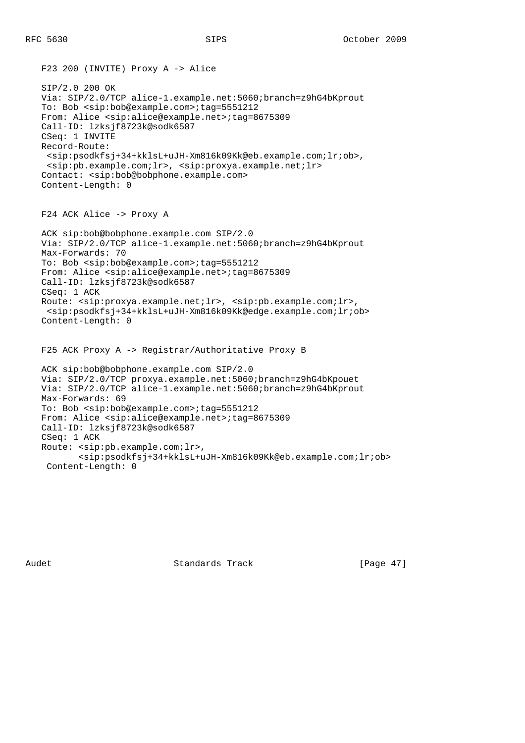F23 200 (INVITE) Proxy A -> Alice SIP/2.0 200 OK Via: SIP/2.0/TCP alice-1.example.net:5060;branch=z9hG4bKprout To: Bob <sip:bob@example.com>;tag=5551212 From: Alice <sip:alice@example.net>;tag=8675309 Call-ID: lzksjf8723k@sodk6587 CSeq: 1 INVITE Record-Route: <sip:psodkfsj+34+kklsL+uJH-Xm816k09Kk@eb.example.com;lr;ob>, <sip:pb.example.com;lr>, <sip:proxya.example.net;lr> Contact: <sip:bob@bobphone.example.com> Content-Length: 0 F24 ACK Alice -> Proxy A ACK sip:bob@bobphone.example.com SIP/2.0 Via: SIP/2.0/TCP alice-1.example.net:5060;branch=z9hG4bKprout Max-Forwards: 70 To: Bob <sip:bob@example.com>;tag=5551212 From: Alice <sip:alice@example.net>;tag=8675309 Call-ID: lzksjf8723k@sodk6587 CSeq: 1 ACK Route: <sip:proxya.example.net;lr>, <sip:pb.example.com;lr>, <sip:psodkfsj+34+kklsL+uJH-Xm816k09Kk@edge.example.com;lr;ob> Content-Length: 0 F25 ACK Proxy A -> Registrar/Authoritative Proxy B ACK sip:bob@bobphone.example.com SIP/2.0 Via: SIP/2.0/TCP proxya.example.net:5060;branch=z9hG4bKpouet Via: SIP/2.0/TCP alice-1.example.net:5060;branch=z9hG4bKprout Max-Forwards: 69 To: Bob <sip:bob@example.com>;tag=5551212 From: Alice <sip:alice@example.net>;tag=8675309 Call-ID: lzksjf8723k@sodk6587 CSeq: 1 ACK Route: <sip:pb.example.com;lr>, <sip:psodkfsj+34+kklsL+uJH-Xm816k09Kk@eb.example.com;lr;ob> Content-Length: 0

Audet **Standards Track** [Page 47]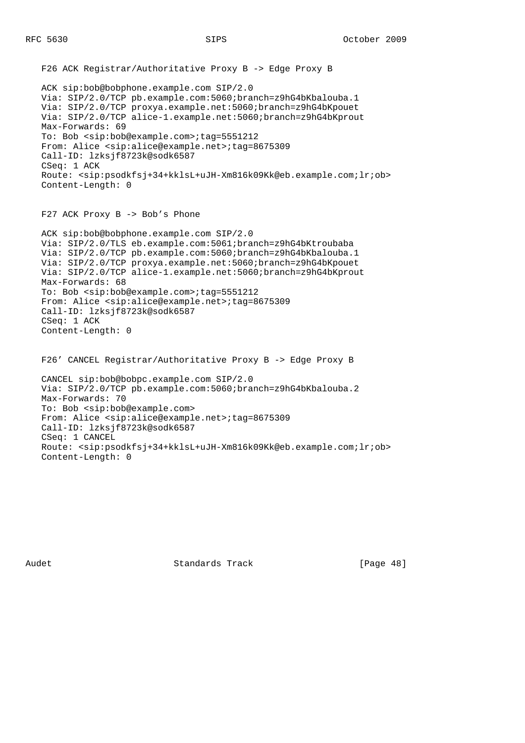F26 ACK Registrar/Authoritative Proxy B -> Edge Proxy B ACK sip:bob@bobphone.example.com SIP/2.0 Via: SIP/2.0/TCP pb.example.com:5060;branch=z9hG4bKbalouba.1 Via: SIP/2.0/TCP proxya.example.net:5060;branch=z9hG4bKpouet Via: SIP/2.0/TCP alice-1.example.net:5060;branch=z9hG4bKprout Max-Forwards: 69 To: Bob <sip:bob@example.com>;tag=5551212 From: Alice <sip:alice@example.net>;tag=8675309 Call-ID: lzksjf8723k@sodk6587 CSeq: 1 ACK Route: <sip:psodkfsj+34+kklsL+uJH-Xm816k09Kk@eb.example.com;lr;ob> Content-Length: 0 F27 ACK Proxy B -> Bob's Phone ACK sip:bob@bobphone.example.com SIP/2.0 Via: SIP/2.0/TLS eb.example.com:5061;branch=z9hG4bKtroubaba Via: SIP/2.0/TCP pb.example.com:5060;branch=z9hG4bKbalouba.1 Via: SIP/2.0/TCP proxya.example.net:5060;branch=z9hG4bKpouet Via: SIP/2.0/TCP alice-1.example.net:5060;branch=z9hG4bKprout Max-Forwards: 68 To: Bob <sip:bob@example.com>;tag=5551212 From: Alice <sip:alice@example.net>;tag=8675309 Call-ID: lzksjf8723k@sodk6587 CSeq: 1 ACK Content-Length: 0 F26' CANCEL Registrar/Authoritative Proxy B -> Edge Proxy B CANCEL sip:bob@bobpc.example.com SIP/2.0 Via: SIP/2.0/TCP pb.example.com:5060;branch=z9hG4bKbalouba.2 Max-Forwards: 70 To: Bob <sip:bob@example.com> From: Alice <sip:alice@example.net>;tag=8675309 Call-ID: lzksjf8723k@sodk6587 CSeq: 1 CANCEL Route: <sip:psodkfsj+34+kklsL+uJH-Xm816k09Kk@eb.example.com;lr;ob> Content-Length: 0

Audet **Standards Track** [Page 48]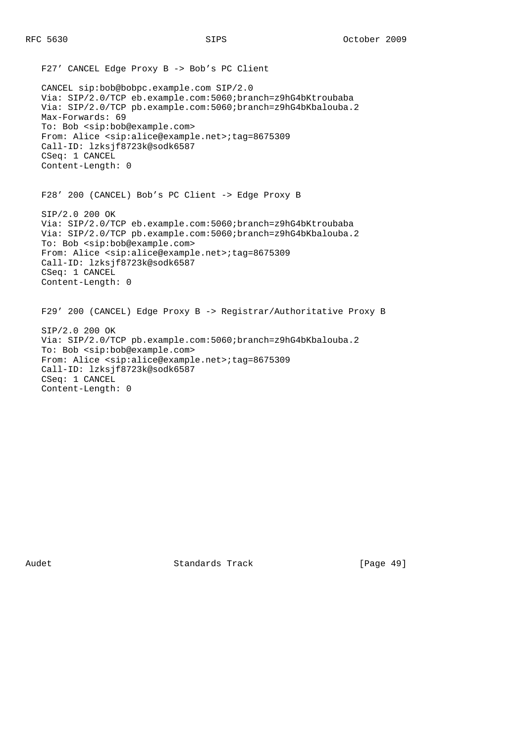F27' CANCEL Edge Proxy B -> Bob's PC Client CANCEL sip:bob@bobpc.example.com SIP/2.0 Via: SIP/2.0/TCP eb.example.com:5060;branch=z9hG4bKtroubaba Via: SIP/2.0/TCP pb.example.com:5060;branch=z9hG4bKbalouba.2 Max-Forwards: 69 To: Bob <sip:bob@example.com> From: Alice <sip:alice@example.net>;tag=8675309 Call-ID: lzksjf8723k@sodk6587 CSeq: 1 CANCEL Content-Length: 0 F28' 200 (CANCEL) Bob's PC Client -> Edge Proxy B SIP/2.0 200 OK Via: SIP/2.0/TCP eb.example.com:5060;branch=z9hG4bKtroubaba Via: SIP/2.0/TCP pb.example.com:5060;branch=z9hG4bKbalouba.2 To: Bob <sip:bob@example.com> From: Alice <sip:alice@example.net>;tag=8675309 Call-ID: lzksjf8723k@sodk6587 CSeq: 1 CANCEL Content-Length: 0 F29' 200 (CANCEL) Edge Proxy B -> Registrar/Authoritative Proxy B SIP/2.0 200 OK Via: SIP/2.0/TCP pb.example.com:5060;branch=z9hG4bKbalouba.2 To: Bob <sip:bob@example.com> From: Alice <sip:alice@example.net>;tag=8675309 Call-ID: lzksjf8723k@sodk6587 CSeq: 1 CANCEL Content-Length: 0

Audet Standards Track [Page 49]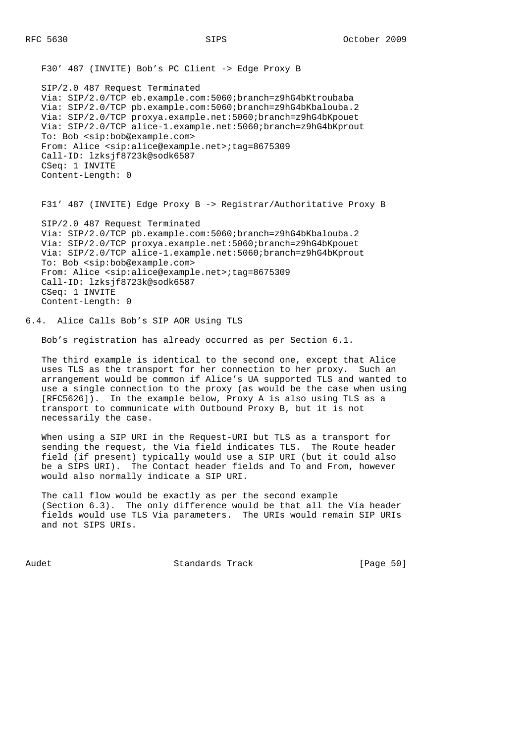F30' 487 (INVITE) Bob's PC Client -> Edge Proxy B SIP/2.0 487 Request Terminated Via: SIP/2.0/TCP eb.example.com:5060;branch=z9hG4bKtroubaba Via: SIP/2.0/TCP pb.example.com:5060;branch=z9hG4bKbalouba.2 Via: SIP/2.0/TCP proxya.example.net:5060;branch=z9hG4bKpouet Via: SIP/2.0/TCP alice-1.example.net:5060;branch=z9hG4bKprout To: Bob <sip:bob@example.com> From: Alice <sip:alice@example.net>;tag=8675309 Call-ID: lzksjf8723k@sodk6587 CSeq: 1 INVITE Content-Length: 0 F31' 487 (INVITE) Edge Proxy B -> Registrar/Authoritative Proxy B SIP/2.0 487 Request Terminated Via: SIP/2.0/TCP pb.example.com:5060;branch=z9hG4bKbalouba.2 Via: SIP/2.0/TCP proxya.example.net:5060;branch=z9hG4bKpouet Via: SIP/2.0/TCP alice-1.example.net:5060;branch=z9hG4bKprout To: Bob <sip:bob@example.com> From: Alice <sip:alice@example.net>;tag=8675309 Call-ID: lzksjf8723k@sodk6587 CSeq: 1 INVITE

6.4. Alice Calls Bob's SIP AOR Using TLS

Content-Length: 0

Bob's registration has already occurred as per Section 6.1.

 The third example is identical to the second one, except that Alice uses TLS as the transport for her connection to her proxy. Such an arrangement would be common if Alice's UA supported TLS and wanted to use a single connection to the proxy (as would be the case when using [RFC5626]). In the example below, Proxy A is also using TLS as a transport to communicate with Outbound Proxy B, but it is not necessarily the case.

 When using a SIP URI in the Request-URI but TLS as a transport for sending the request, the Via field indicates TLS. The Route header field (if present) typically would use a SIP URI (but it could also be a SIPS URI). The Contact header fields and To and From, however would also normally indicate a SIP URI.

 The call flow would be exactly as per the second example (Section 6.3). The only difference would be that all the Via header fields would use TLS Via parameters. The URIs would remain SIP URIs and not SIPS URIs.

Audet **Standards Track** [Page 50]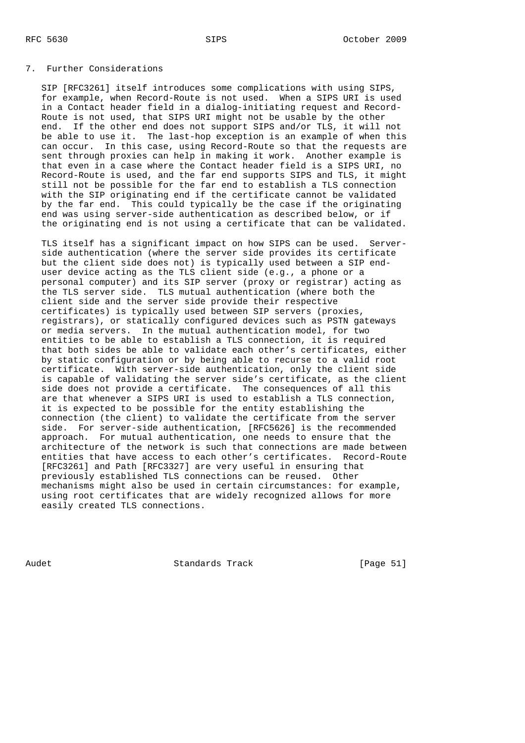### 7. Further Considerations

 SIP [RFC3261] itself introduces some complications with using SIPS, for example, when Record-Route is not used. When a SIPS URI is used in a Contact header field in a dialog-initiating request and Record- Route is not used, that SIPS URI might not be usable by the other end. If the other end does not support SIPS and/or TLS, it will not be able to use it. The last-hop exception is an example of when this can occur. In this case, using Record-Route so that the requests are sent through proxies can help in making it work. Another example is that even in a case where the Contact header field is a SIPS URI, no Record-Route is used, and the far end supports SIPS and TLS, it might still not be possible for the far end to establish a TLS connection with the SIP originating end if the certificate cannot be validated by the far end. This could typically be the case if the originating end was using server-side authentication as described below, or if the originating end is not using a certificate that can be validated.

 TLS itself has a significant impact on how SIPS can be used. Server side authentication (where the server side provides its certificate but the client side does not) is typically used between a SIP end user device acting as the TLS client side (e.g., a phone or a personal computer) and its SIP server (proxy or registrar) acting as the TLS server side. TLS mutual authentication (where both the client side and the server side provide their respective certificates) is typically used between SIP servers (proxies, registrars), or statically configured devices such as PSTN gateways or media servers. In the mutual authentication model, for two entities to be able to establish a TLS connection, it is required that both sides be able to validate each other's certificates, either by static configuration or by being able to recurse to a valid root certificate. With server-side authentication, only the client side is capable of validating the server side's certificate, as the client side does not provide a certificate. The consequences of all this are that whenever a SIPS URI is used to establish a TLS connection, it is expected to be possible for the entity establishing the connection (the client) to validate the certificate from the server side. For server-side authentication, [RFC5626] is the recommended approach. For mutual authentication, one needs to ensure that the architecture of the network is such that connections are made between entities that have access to each other's certificates. Record-Route [RFC3261] and Path [RFC3327] are very useful in ensuring that previously established TLS connections can be reused. Other mechanisms might also be used in certain circumstances: for example, using root certificates that are widely recognized allows for more easily created TLS connections.

Audet **Standards Track** [Page 51]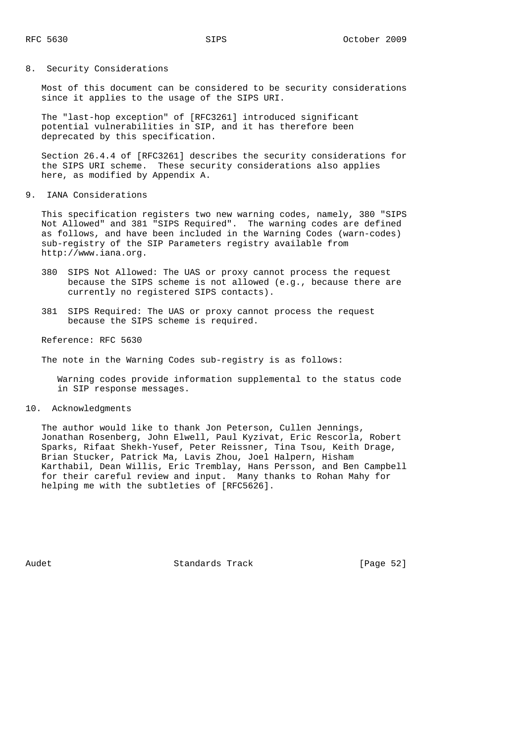#### 8. Security Considerations

 Most of this document can be considered to be security considerations since it applies to the usage of the SIPS URI.

 The "last-hop exception" of [RFC3261] introduced significant potential vulnerabilities in SIP, and it has therefore been deprecated by this specification.

 Section 26.4.4 of [RFC3261] describes the security considerations for the SIPS URI scheme. These security considerations also applies here, as modified by Appendix A.

9. IANA Considerations

 This specification registers two new warning codes, namely, 380 "SIPS Not Allowed" and 381 "SIPS Required". The warning codes are defined as follows, and have been included in the Warning Codes (warn-codes) sub-registry of the SIP Parameters registry available from http://www.iana.org.

- 380 SIPS Not Allowed: The UAS or proxy cannot process the request because the SIPS scheme is not allowed (e.g., because there are currently no registered SIPS contacts).
- 381 SIPS Required: The UAS or proxy cannot process the request because the SIPS scheme is required.

Reference: RFC 5630

The note in the Warning Codes sub-registry is as follows:

 Warning codes provide information supplemental to the status code in SIP response messages.

10. Acknowledgments

 The author would like to thank Jon Peterson, Cullen Jennings, Jonathan Rosenberg, John Elwell, Paul Kyzivat, Eric Rescorla, Robert Sparks, Rifaat Shekh-Yusef, Peter Reissner, Tina Tsou, Keith Drage, Brian Stucker, Patrick Ma, Lavis Zhou, Joel Halpern, Hisham Karthabil, Dean Willis, Eric Tremblay, Hans Persson, and Ben Campbell for their careful review and input. Many thanks to Rohan Mahy for helping me with the subtleties of [RFC5626].

Audet Standards Track [Page 52]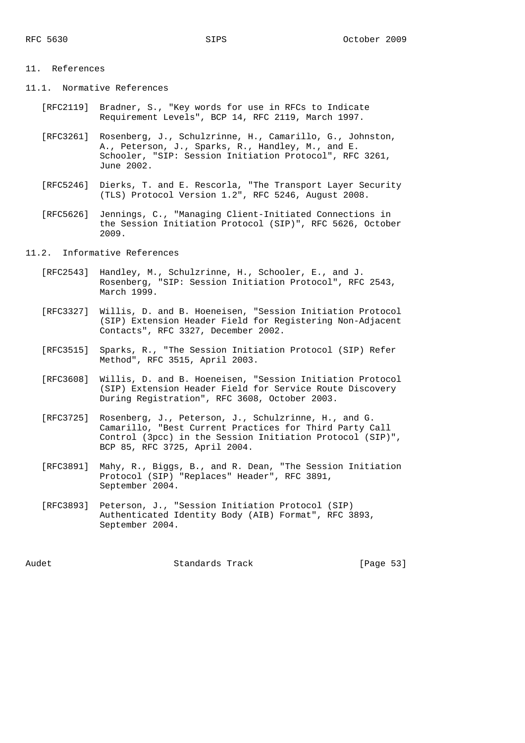#### 11. References

11.1. Normative References

- [RFC2119] Bradner, S., "Key words for use in RFCs to Indicate Requirement Levels", BCP 14, RFC 2119, March 1997.
- [RFC3261] Rosenberg, J., Schulzrinne, H., Camarillo, G., Johnston, A., Peterson, J., Sparks, R., Handley, M., and E. Schooler, "SIP: Session Initiation Protocol", RFC 3261, June 2002.
- [RFC5246] Dierks, T. and E. Rescorla, "The Transport Layer Security (TLS) Protocol Version 1.2", RFC 5246, August 2008.
- [RFC5626] Jennings, C., "Managing Client-Initiated Connections in the Session Initiation Protocol (SIP)", RFC 5626, October 2009.
- 11.2. Informative References
	- [RFC2543] Handley, M., Schulzrinne, H., Schooler, E., and J. Rosenberg, "SIP: Session Initiation Protocol", RFC 2543, March 1999.
	- [RFC3327] Willis, D. and B. Hoeneisen, "Session Initiation Protocol (SIP) Extension Header Field for Registering Non-Adjacent Contacts", RFC 3327, December 2002.
	- [RFC3515] Sparks, R., "The Session Initiation Protocol (SIP) Refer Method", RFC 3515, April 2003.
	- [RFC3608] Willis, D. and B. Hoeneisen, "Session Initiation Protocol (SIP) Extension Header Field for Service Route Discovery During Registration", RFC 3608, October 2003.
	- [RFC3725] Rosenberg, J., Peterson, J., Schulzrinne, H., and G. Camarillo, "Best Current Practices for Third Party Call Control (3pcc) in the Session Initiation Protocol (SIP)", BCP 85, RFC 3725, April 2004.
	- [RFC3891] Mahy, R., Biggs, B., and R. Dean, "The Session Initiation Protocol (SIP) "Replaces" Header", RFC 3891, September 2004.
	- [RFC3893] Peterson, J., "Session Initiation Protocol (SIP) Authenticated Identity Body (AIB) Format", RFC 3893, September 2004.

Audet **Standards Track** [Page 53]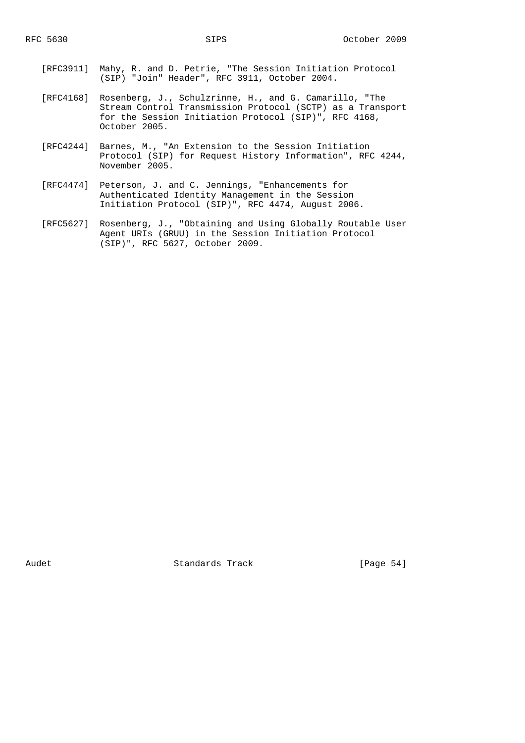- [RFC3911] Mahy, R. and D. Petrie, "The Session Initiation Protocol (SIP) "Join" Header", RFC 3911, October 2004.
- [RFC4168] Rosenberg, J., Schulzrinne, H., and G. Camarillo, "The Stream Control Transmission Protocol (SCTP) as a Transport for the Session Initiation Protocol (SIP)", RFC 4168, October 2005.
- [RFC4244] Barnes, M., "An Extension to the Session Initiation Protocol (SIP) for Request History Information", RFC 4244, November 2005.
- [RFC4474] Peterson, J. and C. Jennings, "Enhancements for Authenticated Identity Management in the Session Initiation Protocol (SIP)", RFC 4474, August 2006.
- [RFC5627] Rosenberg, J., "Obtaining and Using Globally Routable User Agent URIs (GRUU) in the Session Initiation Protocol (SIP)", RFC 5627, October 2009.

Audet **Standards Track** [Page 54]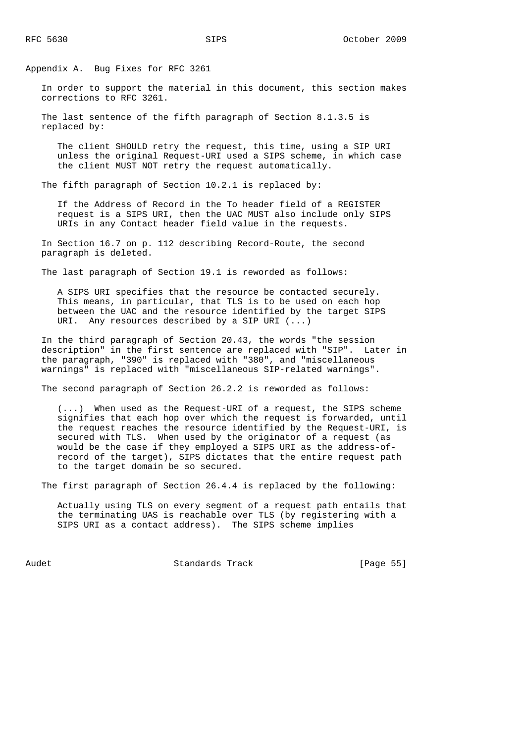Appendix A. Bug Fixes for RFC 3261

 In order to support the material in this document, this section makes corrections to RFC 3261.

 The last sentence of the fifth paragraph of Section 8.1.3.5 is replaced by:

 The client SHOULD retry the request, this time, using a SIP URI unless the original Request-URI used a SIPS scheme, in which case the client MUST NOT retry the request automatically.

The fifth paragraph of Section 10.2.1 is replaced by:

 If the Address of Record in the To header field of a REGISTER request is a SIPS URI, then the UAC MUST also include only SIPS URIs in any Contact header field value in the requests.

 In Section 16.7 on p. 112 describing Record-Route, the second paragraph is deleted.

The last paragraph of Section 19.1 is reworded as follows:

 A SIPS URI specifies that the resource be contacted securely. This means, in particular, that TLS is to be used on each hop between the UAC and the resource identified by the target SIPS URI. Any resources described by a SIP URI (...)

 In the third paragraph of Section 20.43, the words "the session description" in the first sentence are replaced with "SIP". Later in the paragraph, "390" is replaced with "380", and "miscellaneous warnings" is replaced with "miscellaneous SIP-related warnings".

The second paragraph of Section 26.2.2 is reworded as follows:

 (...) When used as the Request-URI of a request, the SIPS scheme signifies that each hop over which the request is forwarded, until the request reaches the resource identified by the Request-URI, is secured with TLS. When used by the originator of a request (as would be the case if they employed a SIPS URI as the address-of record of the target), SIPS dictates that the entire request path to the target domain be so secured.

The first paragraph of Section 26.4.4 is replaced by the following:

 Actually using TLS on every segment of a request path entails that the terminating UAS is reachable over TLS (by registering with a SIPS URI as a contact address). The SIPS scheme implies

Audet **Standards Track** [Page 55]